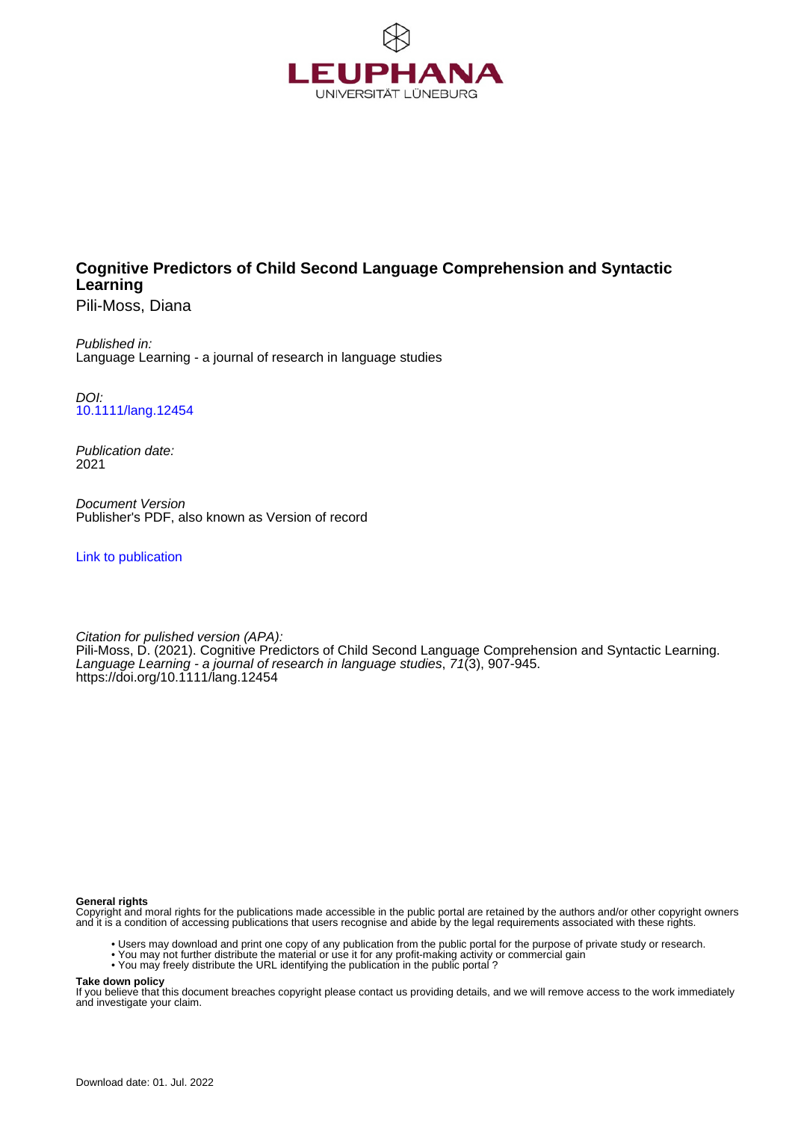

## **Cognitive Predictors of Child Second Language Comprehension and Syntactic Learning**

Pili-Moss, Diana

Published in: Language Learning - a journal of research in language studies

DOI: [10.1111/lang.12454](https://doi.org/10.1111/lang.12454)

Publication date: 2021

Document Version Publisher's PDF, also known as Version of record

[Link to publication](http://fox.leuphana.de/portal/en/publications/cognitive-predictors-of-child-second-language-comprehension-and-syntactic-learning(e7372c6e-783e-4add-b996-f76d96ec3d85).html)

Citation for pulished version (APA): [Pili-Moss, D.](http://fox.leuphana.de/portal/de/persons/diana-pilimoss(6f4c997e-73fe-4ba5-bdc0-b1765cb62c52).html) (2021). [Cognitive Predictors of Child Second Language Comprehension and Syntactic Learning](http://fox.leuphana.de/portal/de/publications/cognitive-predictors-of-child-second-language-comprehension-and-syntactic-learning(e7372c6e-783e-4add-b996-f76d96ec3d85).html). [Language Learning - a journal of research in language studies](http://fox.leuphana.de/portal/de/journals/language-learning(ff41f1cc-c543-4ef6-97f8-a3d9631bf9ab)/publications.html), 71(3), 907-945. <https://doi.org/10.1111/lang.12454>

#### **General rights**

Copyright and moral rights for the publications made accessible in the public portal are retained by the authors and/or other copyright owners and it is a condition of accessing publications that users recognise and abide by the legal requirements associated with these rights.

- Users may download and print one copy of any publication from the public portal for the purpose of private study or research.
- You may not further distribute the material or use it for any profit-making activity or commercial gain
- You may freely distribute the URL identifying the publication in the public portal ?

#### **Take down policy**

If you believe that this document breaches copyright please contact us providing details, and we will remove access to the work immediately and investigate your claim.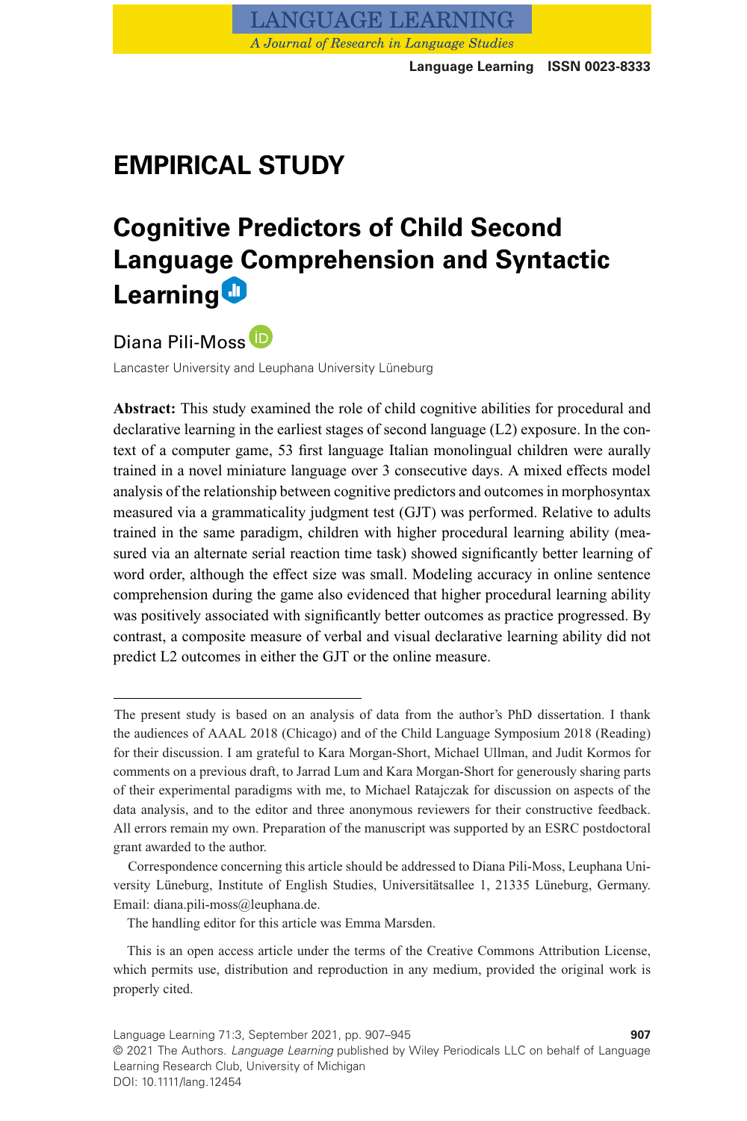

# **EMPIRICAL STUDY**

# **Cognitive Predictors of Child Second Language Comprehension and Syntactic Learning**

Diana Pili-Moss

Lancaster University and Leuphana University Lüneburg

**Abstract:** This study examined the role of child cognitive abilities for procedural and declarative learning in the earliest stages of second language (L2) exposure. In the context of a computer game, 53 first language Italian monolingual children were aurally trained in a novel miniature language over 3 consecutive days. A mixed effects model analysis of the relationship between cognitive predictors and outcomes in morphosyntax measured via a grammaticality judgment test (GJT) was performed. Relative to adults trained in the same paradigm, children with higher procedural learning ability (measured via an alternate serial reaction time task) showed significantly better learning of word order, although the effect size was small. Modeling accuracy in online sentence comprehension during the game also evidenced that higher procedural learning ability was positively associated with significantly better outcomes as practice progressed. By contrast, a composite measure of verbal and visual declarative learning ability did not predict L2 outcomes in either the GJT or the online measure.

The present study is based on an analysis of data from the author's PhD dissertation. I thank the audiences of AAAL 2018 (Chicago) and of the Child Language Symposium 2018 (Reading) for their discussion. I am grateful to Kara Morgan-Short, Michael Ullman, and Judit Kormos for comments on a previous draft, to Jarrad Lum and Kara Morgan-Short for generously sharing parts of their experimental paradigms with me, to Michael Ratajczak for discussion on aspects of the data analysis, and to the editor and three anonymous reviewers for their constructive feedback. All errors remain my own. Preparation of the manuscript was supported by an ESRC postdoctoral grant awarded to the author.

Correspondence concerning this article should be addressed to Diana Pili-Moss, Leuphana University Lüneburg, Institute of English Studies, Universitätsallee 1, 21335 Lüneburg, Germany. Email: diana.pili-moss@leuphana.de.

The handling editor for this article was Emma Marsden.

This is an open access article under the terms of the [Creative Commons Attribution](http://creativecommons.org/licenses/by/4.0/) License, which permits use, distribution and reproduction in any medium, provided the original work is properly cited.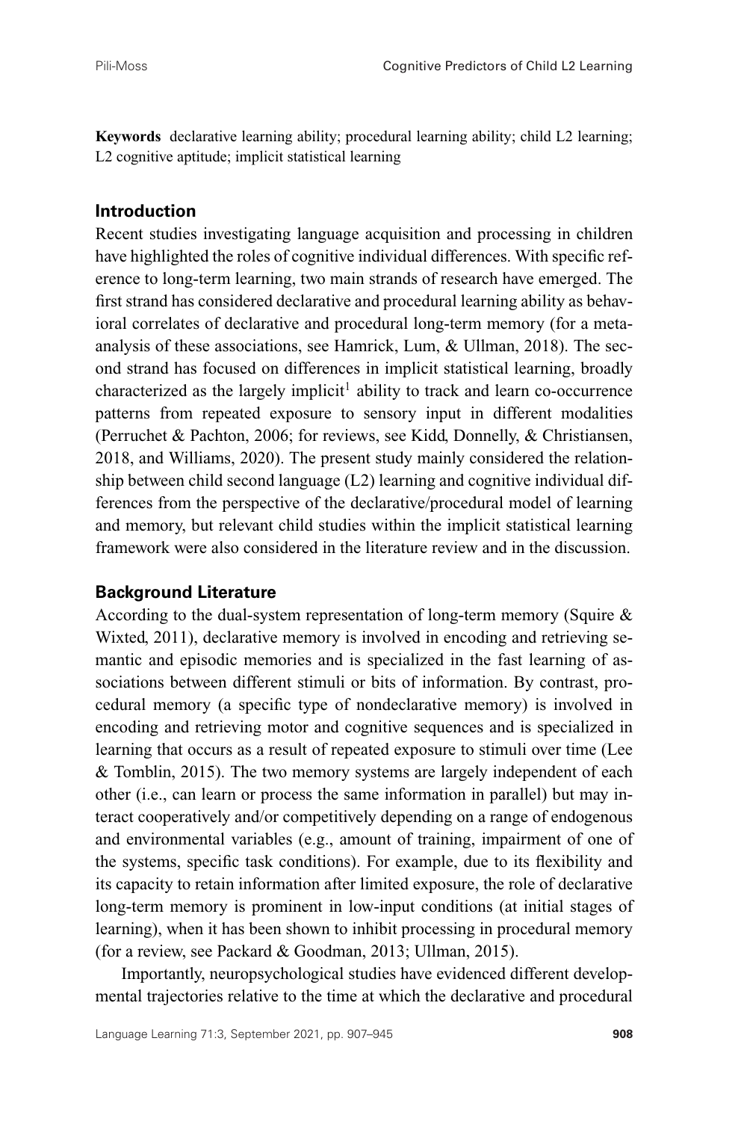**Keywords** declarative learning ability; procedural learning ability; child L2 learning; L2 cognitive aptitude; implicit statistical learning

## **Introduction**

Recent studies investigating language acquisition and processing in children have highlighted the roles of cognitive individual differences. With specific reference to long-term learning, two main strands of research have emerged. The first strand has considered declarative and procedural learning ability as behavioral correlates of declarative and procedural long-term memory (for a metaanalysis of these associations, see Hamrick, Lum, & Ullman, 2018). The second strand has focused on differences in implicit statistical learning, broadly characterized as the largely implicit<sup>1</sup> ability to track and learn co-occurrence patterns from repeated exposure to sensory input in different modalities (Perruchet & Pachton, 2006; for reviews, see Kidd, Donnelly, & Christiansen, 2018, and Williams, 2020). The present study mainly considered the relationship between child second language (L2) learning and cognitive individual differences from the perspective of the declarative/procedural model of learning and memory, but relevant child studies within the implicit statistical learning framework were also considered in the literature review and in the discussion.

#### **Background Literature**

According to the dual-system representation of long-term memory (Squire & Wixted, 2011), declarative memory is involved in encoding and retrieving semantic and episodic memories and is specialized in the fast learning of associations between different stimuli or bits of information. By contrast, procedural memory (a specific type of nondeclarative memory) is involved in encoding and retrieving motor and cognitive sequences and is specialized in learning that occurs as a result of repeated exposure to stimuli over time (Lee & Tomblin, 2015). The two memory systems are largely independent of each other (i.e., can learn or process the same information in parallel) but may interact cooperatively and/or competitively depending on a range of endogenous and environmental variables (e.g., amount of training, impairment of one of the systems, specific task conditions). For example, due to its flexibility and its capacity to retain information after limited exposure, the role of declarative long-term memory is prominent in low-input conditions (at initial stages of learning), when it has been shown to inhibit processing in procedural memory (for a review, see Packard & Goodman, 2013; Ullman, 2015).

Importantly, neuropsychological studies have evidenced different developmental trajectories relative to the time at which the declarative and procedural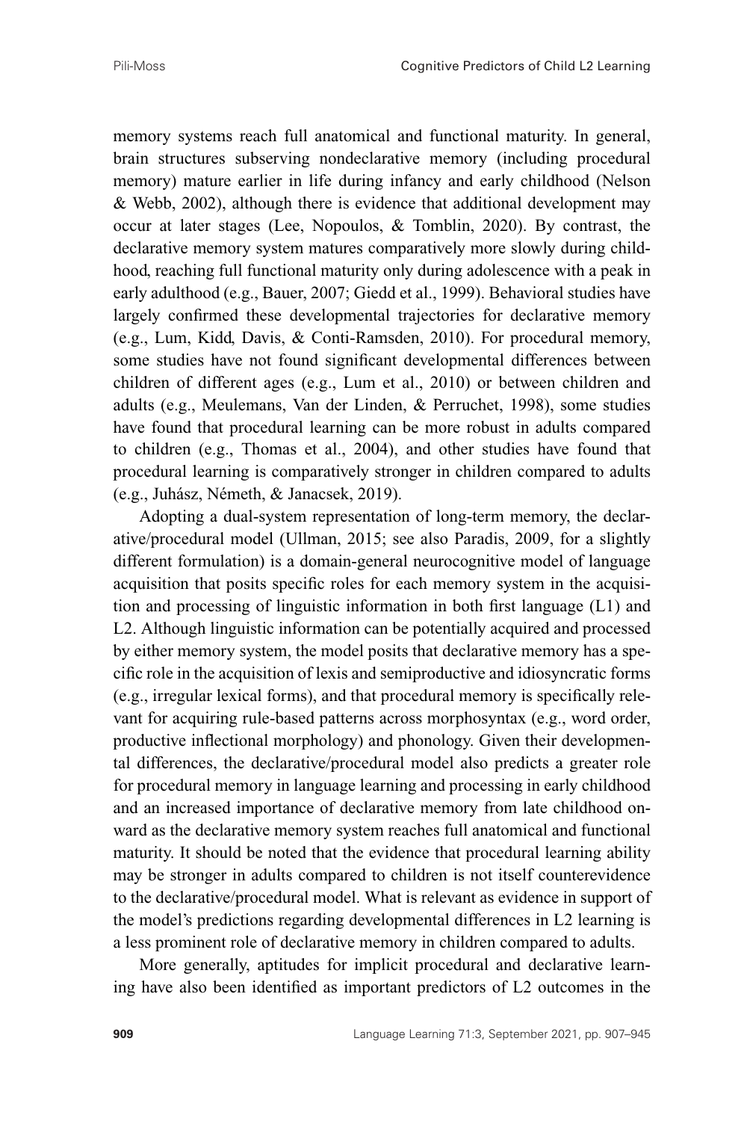memory systems reach full anatomical and functional maturity. In general, brain structures subserving nondeclarative memory (including procedural memory) mature earlier in life during infancy and early childhood (Nelson & Webb, 2002), although there is evidence that additional development may occur at later stages (Lee, Nopoulos, & Tomblin, 2020). By contrast, the declarative memory system matures comparatively more slowly during childhood, reaching full functional maturity only during adolescence with a peak in early adulthood (e.g., Bauer, 2007; Giedd et al., 1999). Behavioral studies have largely confirmed these developmental trajectories for declarative memory (e.g., Lum, Kidd, Davis, & Conti-Ramsden, 2010). For procedural memory, some studies have not found significant developmental differences between children of different ages (e.g., Lum et al., 2010) or between children and adults (e.g., Meulemans, Van der Linden, & Perruchet, 1998), some studies have found that procedural learning can be more robust in adults compared to children (e.g., Thomas et al., 2004), and other studies have found that procedural learning is comparatively stronger in children compared to adults (e.g., Juhász, Németh, & Janacsek, 2019).

Adopting a dual-system representation of long-term memory, the declarative/procedural model (Ullman, 2015; see also Paradis, 2009, for a slightly different formulation) is a domain-general neurocognitive model of language acquisition that posits specific roles for each memory system in the acquisition and processing of linguistic information in both first language (L1) and L2. Although linguistic information can be potentially acquired and processed by either memory system, the model posits that declarative memory has a specific role in the acquisition of lexis and semiproductive and idiosyncratic forms (e.g., irregular lexical forms), and that procedural memory is specifically relevant for acquiring rule-based patterns across morphosyntax (e.g., word order, productive inflectional morphology) and phonology. Given their developmental differences, the declarative/procedural model also predicts a greater role for procedural memory in language learning and processing in early childhood and an increased importance of declarative memory from late childhood onward as the declarative memory system reaches full anatomical and functional maturity. It should be noted that the evidence that procedural learning ability may be stronger in adults compared to children is not itself counterevidence to the declarative/procedural model. What is relevant as evidence in support of the model's predictions regarding developmental differences in L2 learning is a less prominent role of declarative memory in children compared to adults.

More generally, aptitudes for implicit procedural and declarative learning have also been identified as important predictors of L2 outcomes in the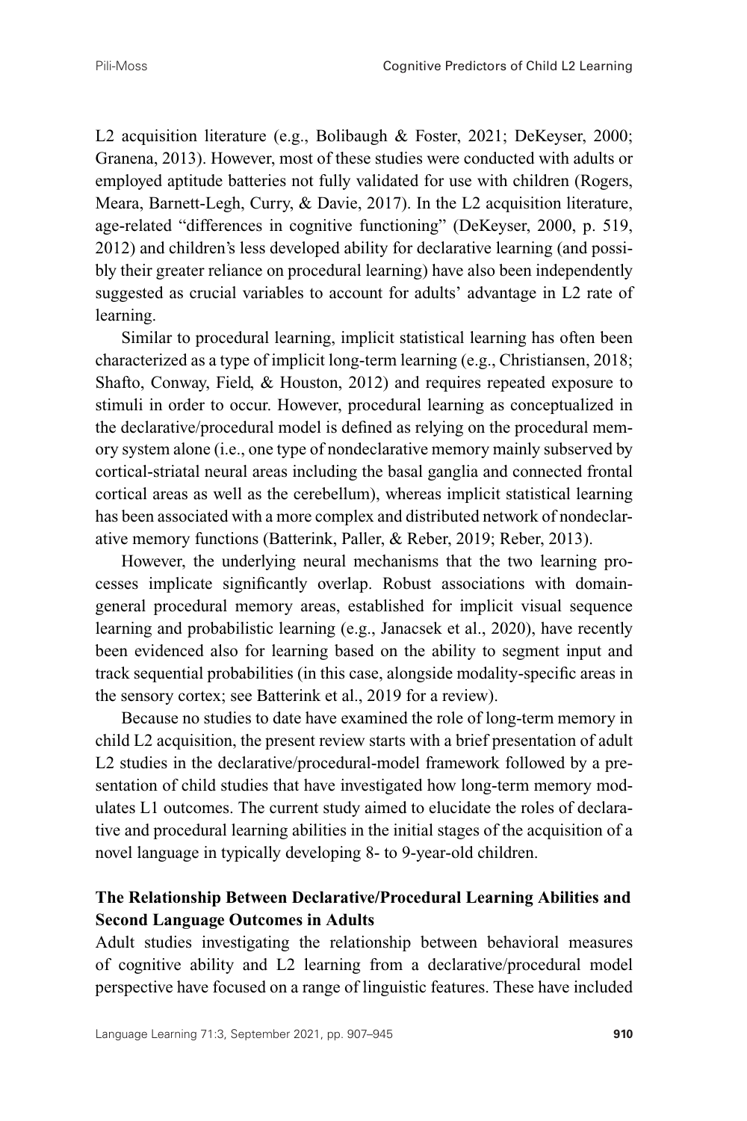L2 acquisition literature (e.g., Bolibaugh & Foster, 2021; DeKeyser, 2000; Granena, 2013). However, most of these studies were conducted with adults or employed aptitude batteries not fully validated for use with children (Rogers, Meara, Barnett-Legh, Curry, & Davie, 2017). In the L2 acquisition literature, age-related "differences in cognitive functioning" (DeKeyser, 2000, p. 519, 2012) and children's less developed ability for declarative learning (and possibly their greater reliance on procedural learning) have also been independently suggested as crucial variables to account for adults' advantage in L2 rate of learning.

Similar to procedural learning, implicit statistical learning has often been characterized as a type of implicit long-term learning (e.g., Christiansen, 2018; Shafto, Conway, Field, & Houston, 2012) and requires repeated exposure to stimuli in order to occur. However, procedural learning as conceptualized in the declarative/procedural model is defined as relying on the procedural memory system alone (i.e., one type of nondeclarative memory mainly subserved by cortical-striatal neural areas including the basal ganglia and connected frontal cortical areas as well as the cerebellum), whereas implicit statistical learning has been associated with a more complex and distributed network of nondeclarative memory functions (Batterink, Paller, & Reber, 2019; Reber, 2013).

However, the underlying neural mechanisms that the two learning processes implicate significantly overlap. Robust associations with domaingeneral procedural memory areas, established for implicit visual sequence learning and probabilistic learning (e.g., Janacsek et al., 2020), have recently been evidenced also for learning based on the ability to segment input and track sequential probabilities (in this case, alongside modality-specific areas in the sensory cortex; see Batterink et al., 2019 for a review).

Because no studies to date have examined the role of long-term memory in child L2 acquisition, the present review starts with a brief presentation of adult L2 studies in the declarative/procedural-model framework followed by a presentation of child studies that have investigated how long-term memory modulates L1 outcomes. The current study aimed to elucidate the roles of declarative and procedural learning abilities in the initial stages of the acquisition of a novel language in typically developing 8- to 9-year-old children.

## **The Relationship Between Declarative/Procedural Learning Abilities and Second Language Outcomes in Adults**

Adult studies investigating the relationship between behavioral measures of cognitive ability and L2 learning from a declarative/procedural model perspective have focused on a range of linguistic features. These have included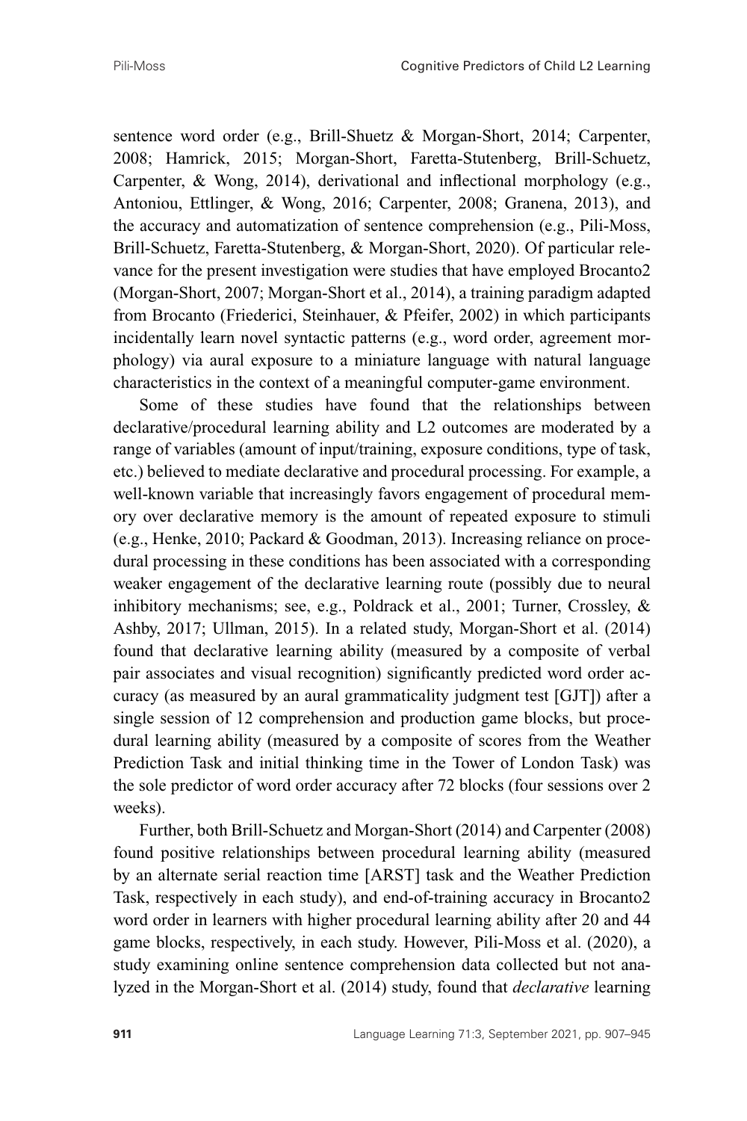sentence word order (e.g., Brill-Shuetz & Morgan-Short, 2014; Carpenter, 2008; Hamrick, 2015; Morgan-Short, Faretta-Stutenberg, Brill-Schuetz, Carpenter, & Wong, 2014), derivational and inflectional morphology (e.g., Antoniou, Ettlinger, & Wong, 2016; Carpenter, 2008; Granena, 2013), and the accuracy and automatization of sentence comprehension (e.g., Pili-Moss, Brill-Schuetz, Faretta-Stutenberg, & Morgan-Short, 2020). Of particular relevance for the present investigation were studies that have employed Brocanto2 (Morgan-Short, 2007; Morgan-Short et al., 2014), a training paradigm adapted from Brocanto (Friederici, Steinhauer, & Pfeifer, 2002) in which participants incidentally learn novel syntactic patterns (e.g., word order, agreement morphology) via aural exposure to a miniature language with natural language characteristics in the context of a meaningful computer-game environment.

Some of these studies have found that the relationships between declarative/procedural learning ability and L2 outcomes are moderated by a range of variables (amount of input/training, exposure conditions, type of task, etc.) believed to mediate declarative and procedural processing. For example, a well-known variable that increasingly favors engagement of procedural memory over declarative memory is the amount of repeated exposure to stimuli (e.g., Henke, 2010; Packard & Goodman, 2013). Increasing reliance on procedural processing in these conditions has been associated with a corresponding weaker engagement of the declarative learning route (possibly due to neural inhibitory mechanisms; see, e.g., Poldrack et al., 2001; Turner, Crossley, & Ashby, 2017; Ullman, 2015). In a related study, Morgan-Short et al. (2014) found that declarative learning ability (measured by a composite of verbal pair associates and visual recognition) significantly predicted word order accuracy (as measured by an aural grammaticality judgment test [GJT]) after a single session of 12 comprehension and production game blocks, but procedural learning ability (measured by a composite of scores from the Weather Prediction Task and initial thinking time in the Tower of London Task) was the sole predictor of word order accuracy after 72 blocks (four sessions over 2 weeks).

Further, both Brill-Schuetz and Morgan-Short (2014) and Carpenter (2008) found positive relationships between procedural learning ability (measured by an alternate serial reaction time [ARST] task and the Weather Prediction Task, respectively in each study), and end-of-training accuracy in Brocanto2 word order in learners with higher procedural learning ability after 20 and 44 game blocks, respectively, in each study. However, Pili-Moss et al. (2020), a study examining online sentence comprehension data collected but not analyzed in the Morgan-Short et al. (2014) study, found that *declarative* learning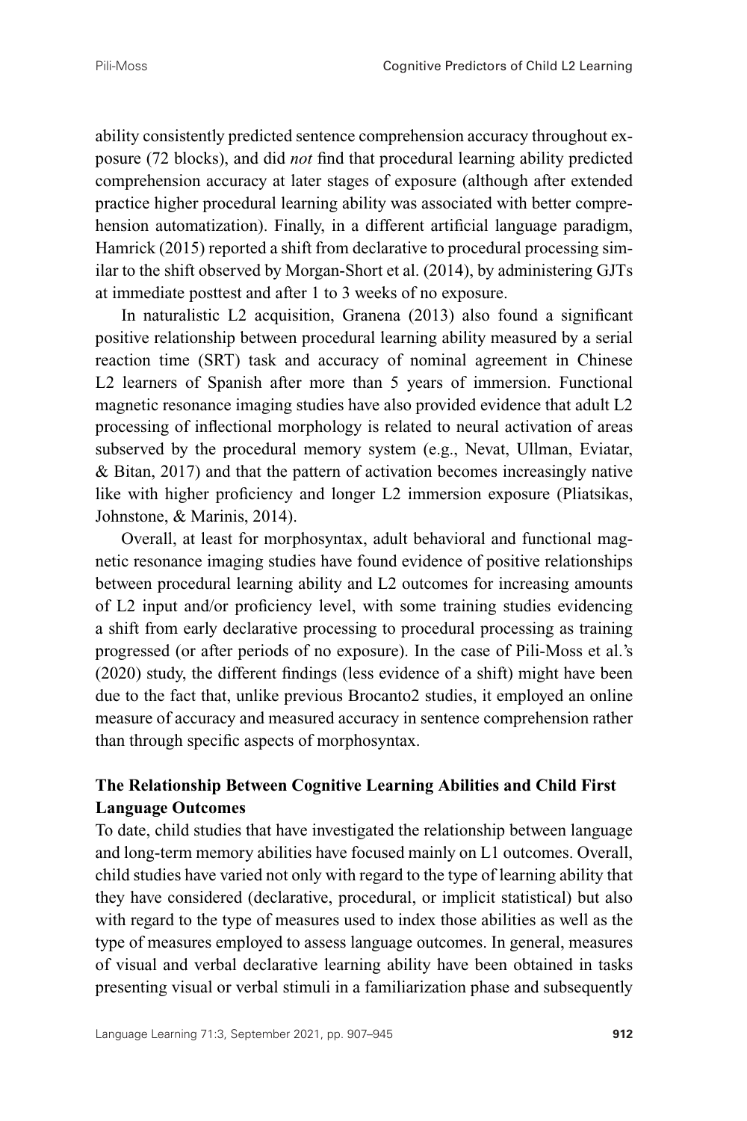ability consistently predicted sentence comprehension accuracy throughout exposure (72 blocks), and did *not* find that procedural learning ability predicted comprehension accuracy at later stages of exposure (although after extended practice higher procedural learning ability was associated with better comprehension automatization). Finally, in a different artificial language paradigm, Hamrick (2015) reported a shift from declarative to procedural processing similar to the shift observed by Morgan-Short et al. (2014), by administering GJTs at immediate posttest and after 1 to 3 weeks of no exposure.

In naturalistic L2 acquisition, Granena (2013) also found a significant positive relationship between procedural learning ability measured by a serial reaction time (SRT) task and accuracy of nominal agreement in Chinese L2 learners of Spanish after more than 5 years of immersion. Functional magnetic resonance imaging studies have also provided evidence that adult L2 processing of inflectional morphology is related to neural activation of areas subserved by the procedural memory system (e.g., Nevat, Ullman, Eviatar, & Bitan, 2017) and that the pattern of activation becomes increasingly native like with higher proficiency and longer L2 immersion exposure (Pliatsikas, Johnstone, & Marinis, 2014).

Overall, at least for morphosyntax, adult behavioral and functional magnetic resonance imaging studies have found evidence of positive relationships between procedural learning ability and L2 outcomes for increasing amounts of L2 input and/or proficiency level, with some training studies evidencing a shift from early declarative processing to procedural processing as training progressed (or after periods of no exposure). In the case of Pili-Moss et al.'s (2020) study, the different findings (less evidence of a shift) might have been due to the fact that, unlike previous Brocanto2 studies, it employed an online measure of accuracy and measured accuracy in sentence comprehension rather than through specific aspects of morphosyntax.

## **The Relationship Between Cognitive Learning Abilities and Child First Language Outcomes**

To date, child studies that have investigated the relationship between language and long-term memory abilities have focused mainly on L1 outcomes. Overall, child studies have varied not only with regard to the type of learning ability that they have considered (declarative, procedural, or implicit statistical) but also with regard to the type of measures used to index those abilities as well as the type of measures employed to assess language outcomes. In general, measures of visual and verbal declarative learning ability have been obtained in tasks presenting visual or verbal stimuli in a familiarization phase and subsequently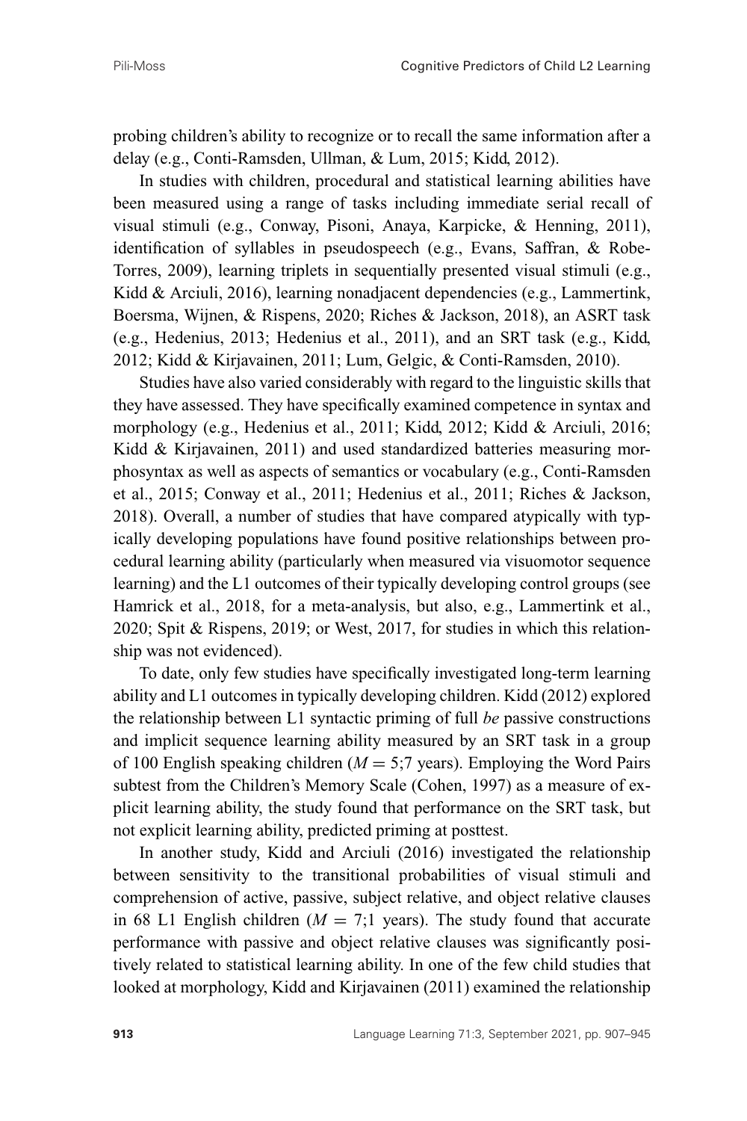probing children's ability to recognize or to recall the same information after a delay (e.g., Conti-Ramsden, Ullman, & Lum, 2015; Kidd, 2012).

In studies with children, procedural and statistical learning abilities have been measured using a range of tasks including immediate serial recall of visual stimuli (e.g., Conway, Pisoni, Anaya, Karpicke, & Henning, 2011), identification of syllables in pseudospeech (e.g., Evans, Saffran, & Robe-Torres, 2009), learning triplets in sequentially presented visual stimuli (e.g., Kidd & Arciuli, 2016), learning nonadjacent dependencies (e.g., Lammertink, Boersma, Wijnen, & Rispens, 2020; Riches & Jackson, 2018), an ASRT task (e.g., Hedenius, 2013; Hedenius et al., 2011), and an SRT task (e.g., Kidd, 2012; Kidd & Kirjavainen, 2011; Lum, Gelgic, & Conti-Ramsden, 2010).

Studies have also varied considerably with regard to the linguistic skills that they have assessed. They have specifically examined competence in syntax and morphology (e.g., Hedenius et al., 2011; Kidd, 2012; Kidd & Arciuli, 2016; Kidd & Kirjavainen, 2011) and used standardized batteries measuring morphosyntax as well as aspects of semantics or vocabulary (e.g., Conti-Ramsden et al., 2015; Conway et al., 2011; Hedenius et al., 2011; Riches & Jackson, 2018). Overall, a number of studies that have compared atypically with typically developing populations have found positive relationships between procedural learning ability (particularly when measured via visuomotor sequence learning) and the L1 outcomes of their typically developing control groups (see Hamrick et al., 2018, for a meta-analysis, but also, e.g., Lammertink et al., 2020; Spit & Rispens, 2019; or West, 2017, for studies in which this relationship was not evidenced).

To date, only few studies have specifically investigated long-term learning ability and L1 outcomes in typically developing children. Kidd (2012) explored the relationship between L1 syntactic priming of full *be* passive constructions and implicit sequence learning ability measured by an SRT task in a group of 100 English speaking children ( $M = 5.7$  years). Employing the Word Pairs subtest from the Children's Memory Scale (Cohen, 1997) as a measure of explicit learning ability, the study found that performance on the SRT task, but not explicit learning ability, predicted priming at posttest.

In another study, Kidd and Arciuli (2016) investigated the relationship between sensitivity to the transitional probabilities of visual stimuli and comprehension of active, passive, subject relative, and object relative clauses in 68 L1 English children ( $M = 7,1$  years). The study found that accurate performance with passive and object relative clauses was significantly positively related to statistical learning ability. In one of the few child studies that looked at morphology, Kidd and Kirjavainen (2011) examined the relationship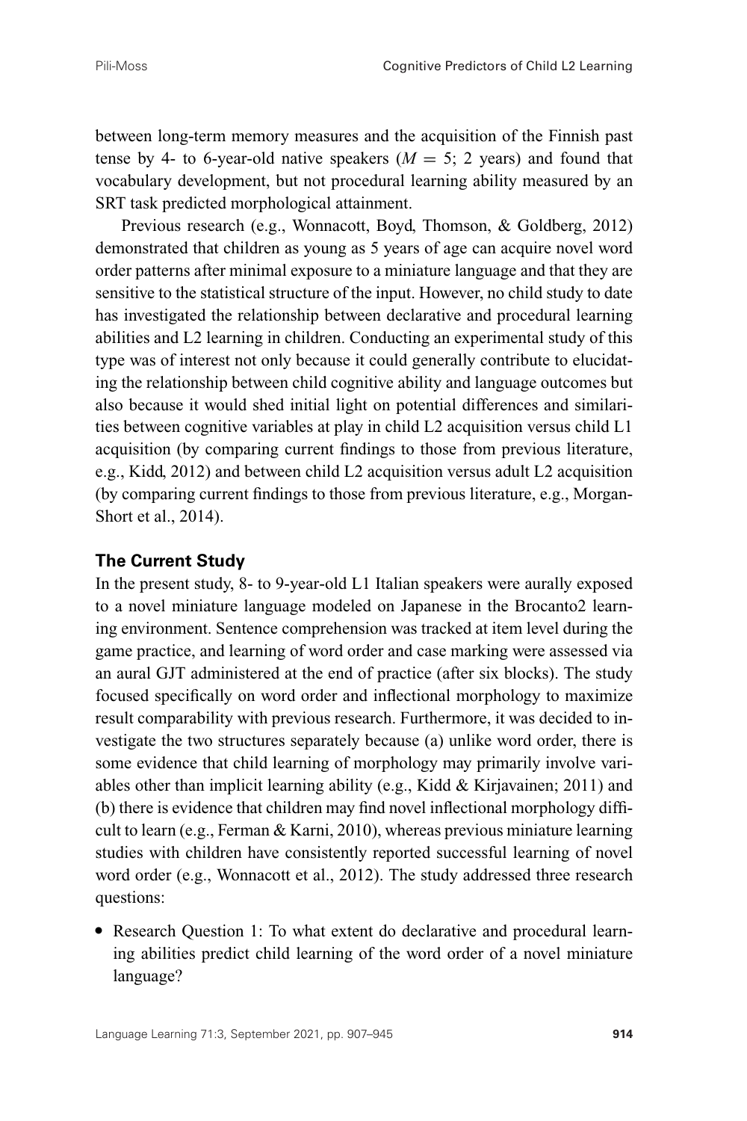between long-term memory measures and the acquisition of the Finnish past tense by 4- to 6-year-old native speakers  $(M = 5; 2$  years) and found that vocabulary development, but not procedural learning ability measured by an SRT task predicted morphological attainment.

Previous research (e.g., Wonnacott, Boyd, Thomson, & Goldberg, 2012) demonstrated that children as young as 5 years of age can acquire novel word order patterns after minimal exposure to a miniature language and that they are sensitive to the statistical structure of the input. However, no child study to date has investigated the relationship between declarative and procedural learning abilities and L2 learning in children. Conducting an experimental study of this type was of interest not only because it could generally contribute to elucidating the relationship between child cognitive ability and language outcomes but also because it would shed initial light on potential differences and similarities between cognitive variables at play in child L2 acquisition versus child L1 acquisition (by comparing current findings to those from previous literature, e.g., Kidd, 2012) and between child L2 acquisition versus adult L2 acquisition (by comparing current findings to those from previous literature, e.g., Morgan-Short et al., 2014).

#### **The Current Study**

In the present study, 8- to 9-year-old L1 Italian speakers were aurally exposed to a novel miniature language modeled on Japanese in the Brocanto2 learning environment. Sentence comprehension was tracked at item level during the game practice, and learning of word order and case marking were assessed via an aural GJT administered at the end of practice (after six blocks). The study focused specifically on word order and inflectional morphology to maximize result comparability with previous research. Furthermore, it was decided to investigate the two structures separately because (a) unlike word order, there is some evidence that child learning of morphology may primarily involve variables other than implicit learning ability (e.g., Kidd & Kirjavainen; 2011) and (b) there is evidence that children may find novel inflectional morphology difficult to learn (e.g., Ferman & Karni, 2010), whereas previous miniature learning studies with children have consistently reported successful learning of novel word order (e.g., Wonnacott et al., 2012). The study addressed three research questions:

Research Question 1: To what extent do declarative and procedural learning abilities predict child learning of the word order of a novel miniature language?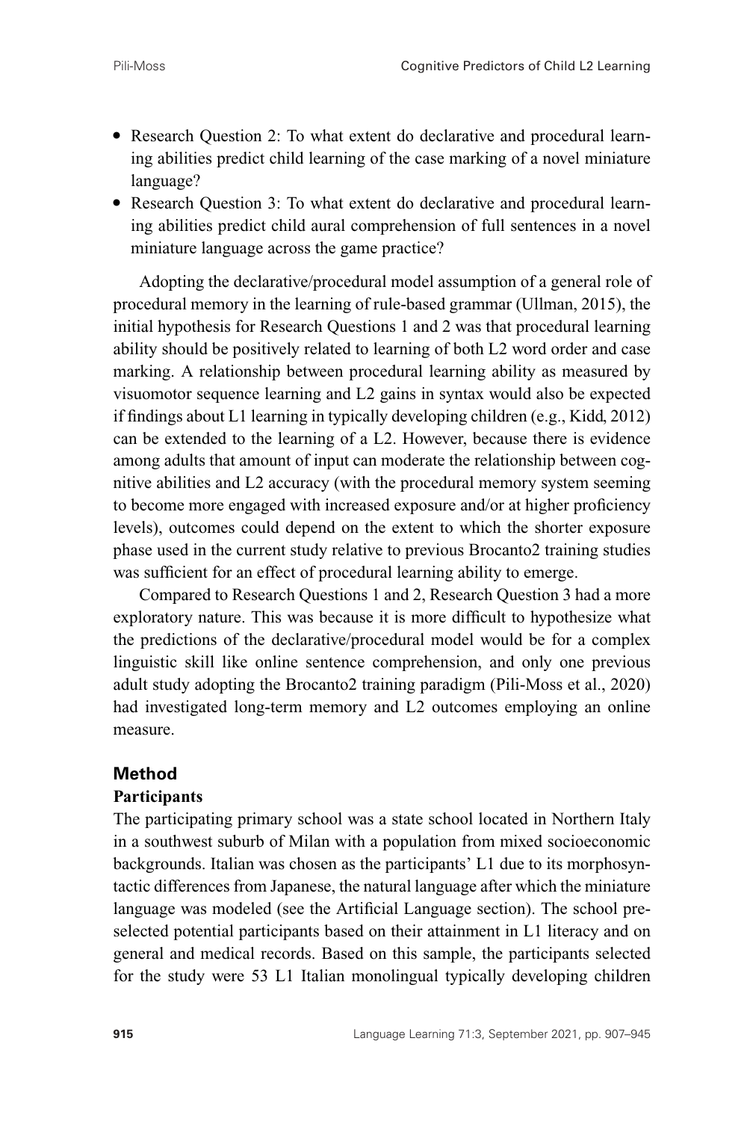- Research Question 2: To what extent do declarative and procedural learning abilities predict child learning of the case marking of a novel miniature language?
- Research Question 3: To what extent do declarative and procedural learning abilities predict child aural comprehension of full sentences in a novel miniature language across the game practice?

Adopting the declarative/procedural model assumption of a general role of procedural memory in the learning of rule-based grammar (Ullman, 2015), the initial hypothesis for Research Questions 1 and 2 was that procedural learning ability should be positively related to learning of both L2 word order and case marking. A relationship between procedural learning ability as measured by visuomotor sequence learning and L2 gains in syntax would also be expected if findings about L1 learning in typically developing children (e.g., Kidd, 2012) can be extended to the learning of a L2. However, because there is evidence among adults that amount of input can moderate the relationship between cognitive abilities and L2 accuracy (with the procedural memory system seeming to become more engaged with increased exposure and/or at higher proficiency levels), outcomes could depend on the extent to which the shorter exposure phase used in the current study relative to previous Brocanto2 training studies was sufficient for an effect of procedural learning ability to emerge.

Compared to Research Questions 1 and 2, Research Question 3 had a more exploratory nature. This was because it is more difficult to hypothesize what the predictions of the declarative/procedural model would be for a complex linguistic skill like online sentence comprehension, and only one previous adult study adopting the Brocanto2 training paradigm (Pili-Moss et al., 2020) had investigated long-term memory and L2 outcomes employing an online measure.

## **Method**

## **Participants**

The participating primary school was a state school located in Northern Italy in a southwest suburb of Milan with a population from mixed socioeconomic backgrounds. Italian was chosen as the participants' L1 due to its morphosyntactic differences from Japanese, the natural language after which the miniature language was modeled (see the Artificial Language section). The school preselected potential participants based on their attainment in L1 literacy and on general and medical records. Based on this sample, the participants selected for the study were 53 L1 Italian monolingual typically developing children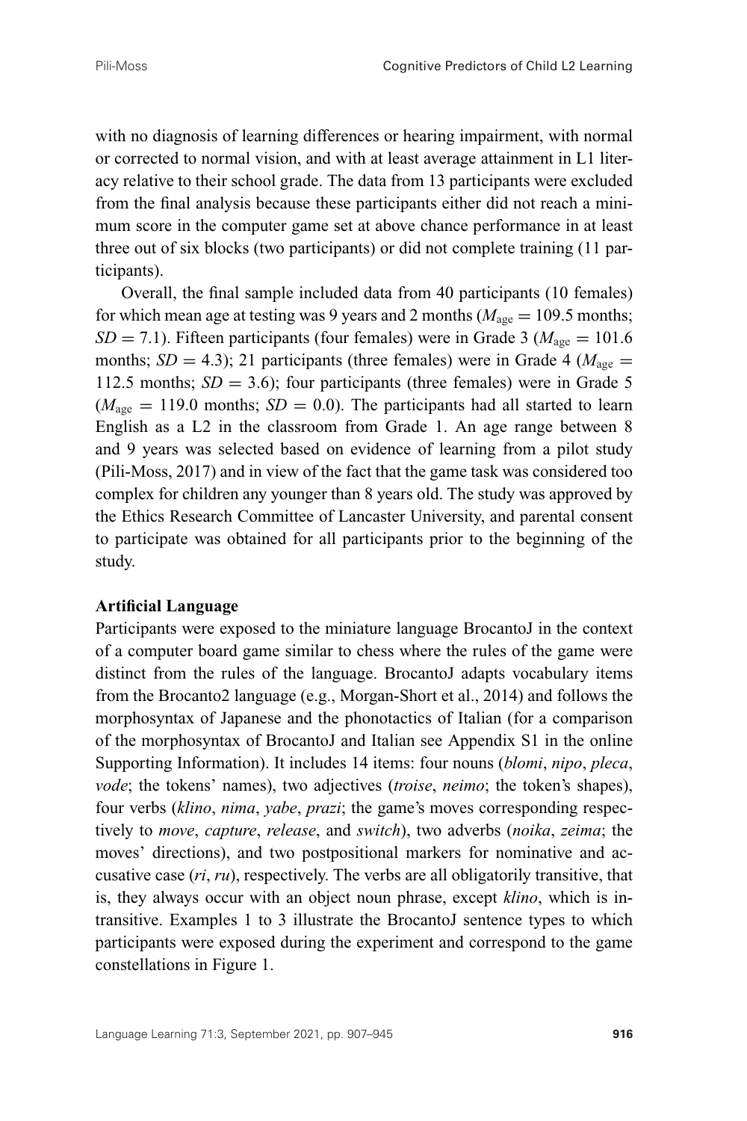with no diagnosis of learning differences or hearing impairment, with normal or corrected to normal vision, and with at least average attainment in L1 literacy relative to their school grade. The data from 13 participants were excluded from the final analysis because these participants either did not reach a minimum score in the computer game set at above chance performance in at least three out of six blocks (two participants) or did not complete training (11 participants).

Overall, the final sample included data from 40 participants (10 females) for which mean age at testing was 9 years and 2 months ( $M_{\text{age}} = 109.5$  months;  $SD = 7.1$ ). Fifteen participants (four females) were in Grade 3 ( $M<sub>age</sub> = 101.6$ months;  $SD = 4.3$ ); 21 participants (three females) were in Grade 4 ( $M_{\text{age}} =$ 112.5 months;  $SD = 3.6$ ); four participants (three females) were in Grade 5  $(M<sub>ave</sub> = 119.0$  months;  $SD = 0.0$ ). The participants had all started to learn English as a L2 in the classroom from Grade 1. An age range between 8 and 9 years was selected based on evidence of learning from a pilot study (Pili-Moss, 2017) and in view of the fact that the game task was considered too complex for children any younger than 8 years old. The study was approved by the Ethics Research Committee of Lancaster University, and parental consent to participate was obtained for all participants prior to the beginning of the study.

#### **Artificial Language**

Participants were exposed to the miniature language BrocantoJ in the context of a computer board game similar to chess where the rules of the game were distinct from the rules of the language. BrocantoJ adapts vocabulary items from the Brocanto2 language (e.g., Morgan-Short et al., 2014) and follows the morphosyntax of Japanese and the phonotactics of Italian (for a comparison of the morphosyntax of BrocantoJ and Italian see Appendix S1 in the online Supporting Information). It includes 14 items: four nouns (*blomi*, *nipo*, *pleca*, *vode*; the tokens' names), two adjectives (*troise*, *neimo*; the token's shapes), four verbs (*klino*, *nima*, *yabe*, *prazi*; the game's moves corresponding respectively to *move*, *capture*, *release*, and *switch*), two adverbs (*noika*, *zeima*; the moves' directions), and two postpositional markers for nominative and accusative case (*ri*, *ru*), respectively. The verbs are all obligatorily transitive, that is, they always occur with an object noun phrase, except *klino*, which is intransitive. Examples 1 to 3 illustrate the BrocantoJ sentence types to which participants were exposed during the experiment and correspond to the game constellations in Figure 1.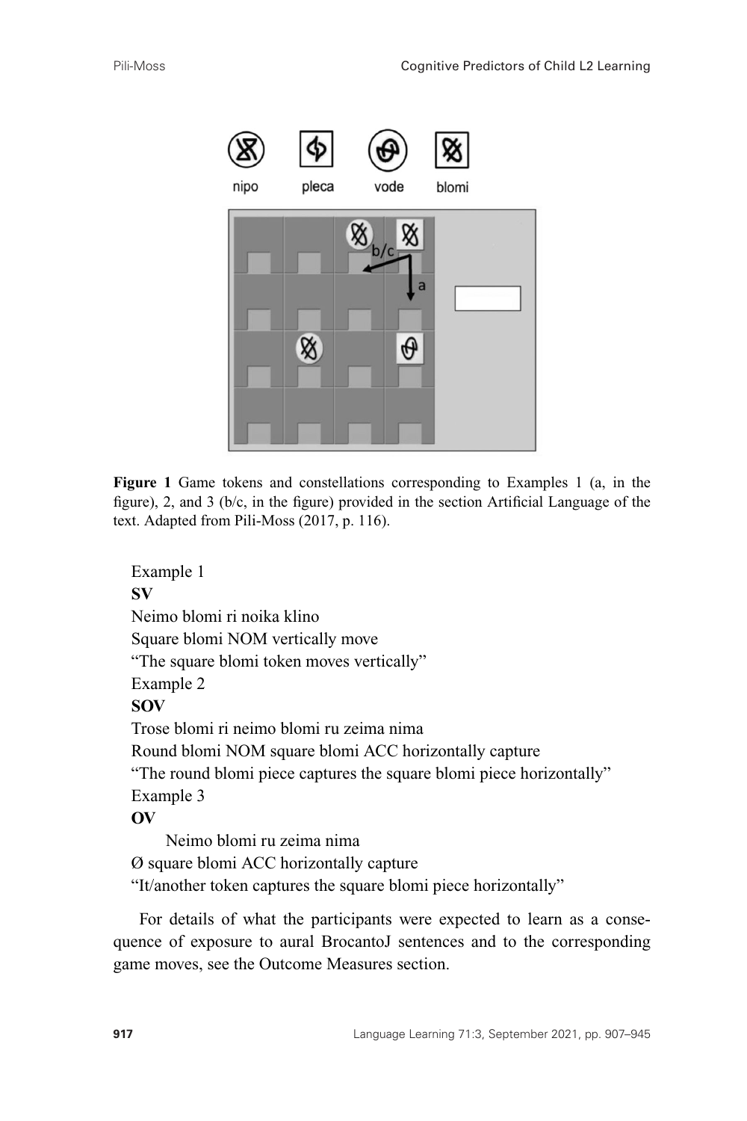

**Figure 1** Game tokens and constellations corresponding to Examples 1 (a, in the figure), 2, and 3 (b/c, in the figure) provided in the section Artificial Language of the text. Adapted from Pili-Moss (2017, p. 116).

```
Example 1
SV
Neimo blomi ri noika klino
Square blomi NOM vertically move
"The square blomi token moves vertically"
Example 2
SOV
Trose blomi ri neimo blomi ru zeima nima
Round blomi NOM square blomi ACC horizontally capture
"The round blomi piece captures the square blomi piece horizontally"
Example 3
OV
    Neimo blomi ru zeima nima
Ø square blomi ACC horizontally capture
"It/another token captures the square blomi piece horizontally"
```
For details of what the participants were expected to learn as a consequence of exposure to aural BrocantoJ sentences and to the corresponding game moves, see the Outcome Measures section.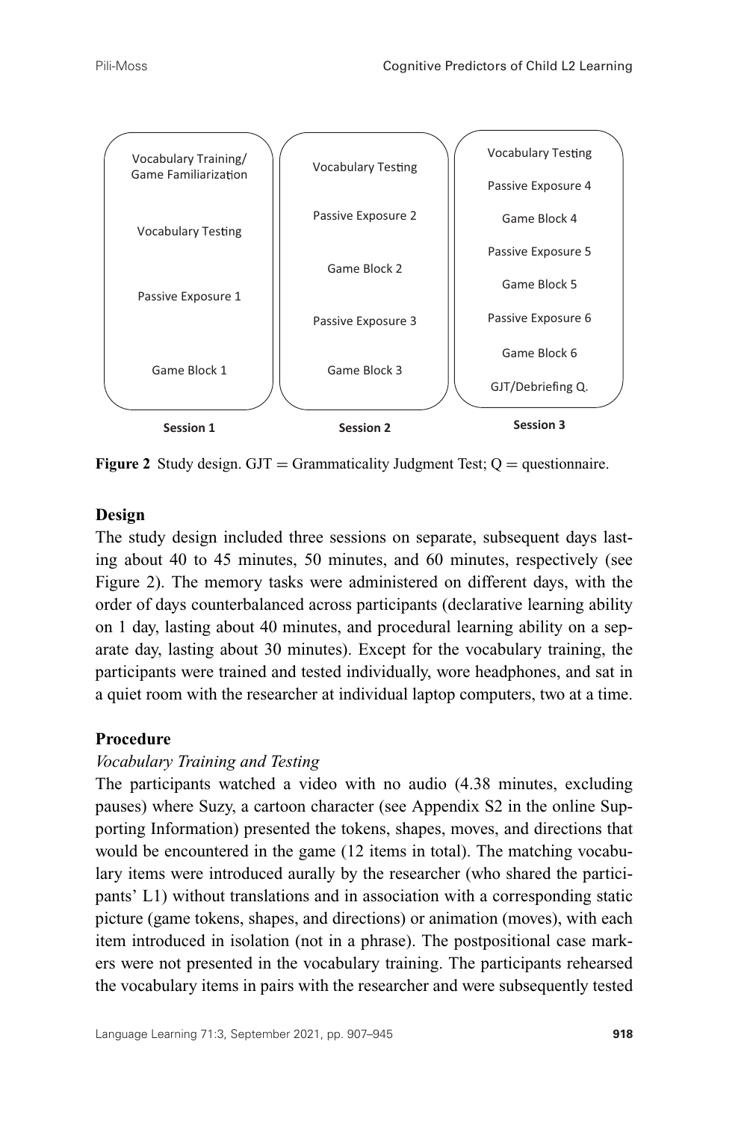

**Figure 2** Study design. GJT = Grammaticality Judgment Test;  $Q =$  questionnaire.

## **Design**

The study design included three sessions on separate, subsequent days lasting about 40 to 45 minutes, 50 minutes, and 60 minutes, respectively (see Figure 2). The memory tasks were administered on different days, with the order of days counterbalanced across participants (declarative learning ability on 1 day, lasting about 40 minutes, and procedural learning ability on a separate day, lasting about 30 minutes). Except for the vocabulary training, the participants were trained and tested individually, wore headphones, and sat in a quiet room with the researcher at individual laptop computers, two at a time.

## **Procedure**

## *Vocabulary Training and Testing*

The participants watched a video with no audio (4.38 minutes, excluding pauses) where Suzy, a cartoon character (see Appendix S2 in the online Supporting Information) presented the tokens, shapes, moves, and directions that would be encountered in the game (12 items in total). The matching vocabulary items were introduced aurally by the researcher (who shared the participants' L1) without translations and in association with a corresponding static picture (game tokens, shapes, and directions) or animation (moves), with each item introduced in isolation (not in a phrase). The postpositional case markers were not presented in the vocabulary training. The participants rehearsed the vocabulary items in pairs with the researcher and were subsequently tested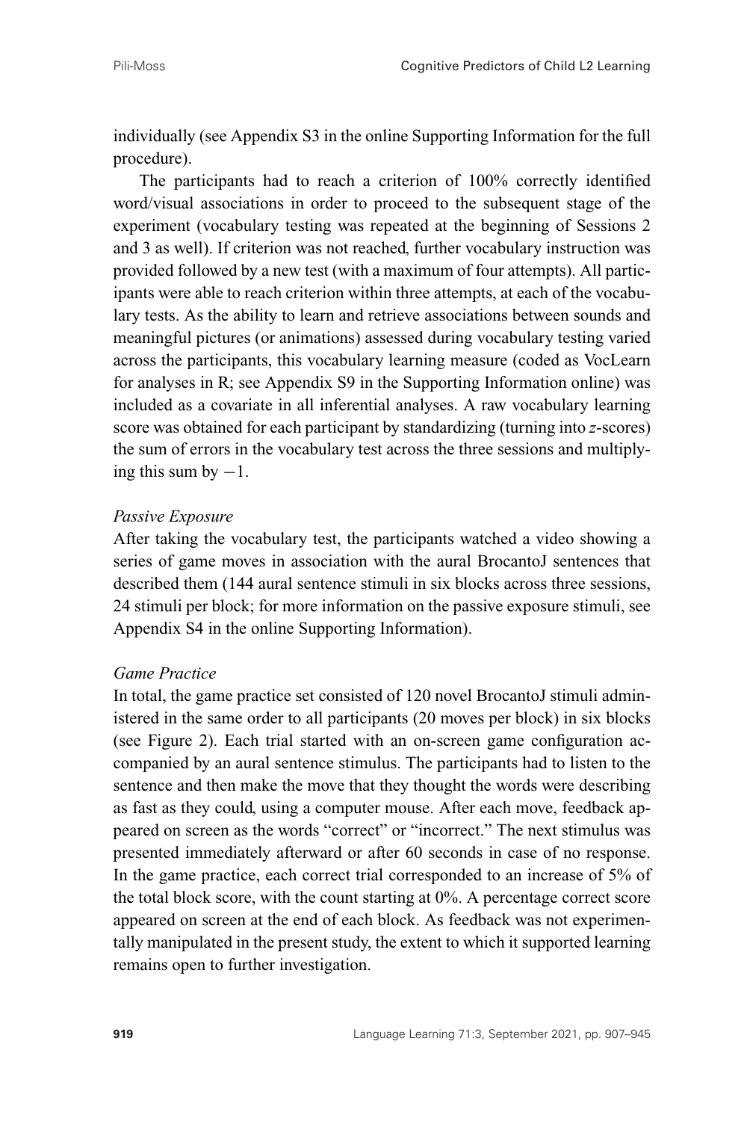individually (see Appendix S3 in the online Supporting Information for the full procedure).

The participants had to reach a criterion of 100% correctly identified word/visual associations in order to proceed to the subsequent stage of the experiment (vocabulary testing was repeated at the beginning of Sessions 2 and 3 as well). If criterion was not reached, further vocabulary instruction was provided followed by a new test (with a maximum of four attempts). All participants were able to reach criterion within three attempts, at each of the vocabulary tests. As the ability to learn and retrieve associations between sounds and meaningful pictures (or animations) assessed during vocabulary testing varied across the participants, this vocabulary learning measure (coded as VocLearn for analyses in R; see Appendix S9 in the Supporting Information online) was included as a covariate in all inferential analyses. A raw vocabulary learning score was obtained for each participant by standardizing (turning into *z*-scores) the sum of errors in the vocabulary test across the three sessions and multiplying this sum by  $-1$ .

## *Passive Exposure*

After taking the vocabulary test, the participants watched a video showing a series of game moves in association with the aural BrocantoJ sentences that described them (144 aural sentence stimuli in six blocks across three sessions, 24 stimuli per block; for more information on the passive exposure stimuli, see Appendix S4 in the online Supporting Information).

## *Game Practice*

In total, the game practice set consisted of 120 novel BrocantoJ stimuli administered in the same order to all participants (20 moves per block) in six blocks (see Figure 2). Each trial started with an on-screen game configuration accompanied by an aural sentence stimulus. The participants had to listen to the sentence and then make the move that they thought the words were describing as fast as they could, using a computer mouse. After each move, feedback appeared on screen as the words "correct" or "incorrect." The next stimulus was presented immediately afterward or after 60 seconds in case of no response. In the game practice, each correct trial corresponded to an increase of 5% of the total block score, with the count starting at 0%. A percentage correct score appeared on screen at the end of each block. As feedback was not experimentally manipulated in the present study, the extent to which it supported learning remains open to further investigation.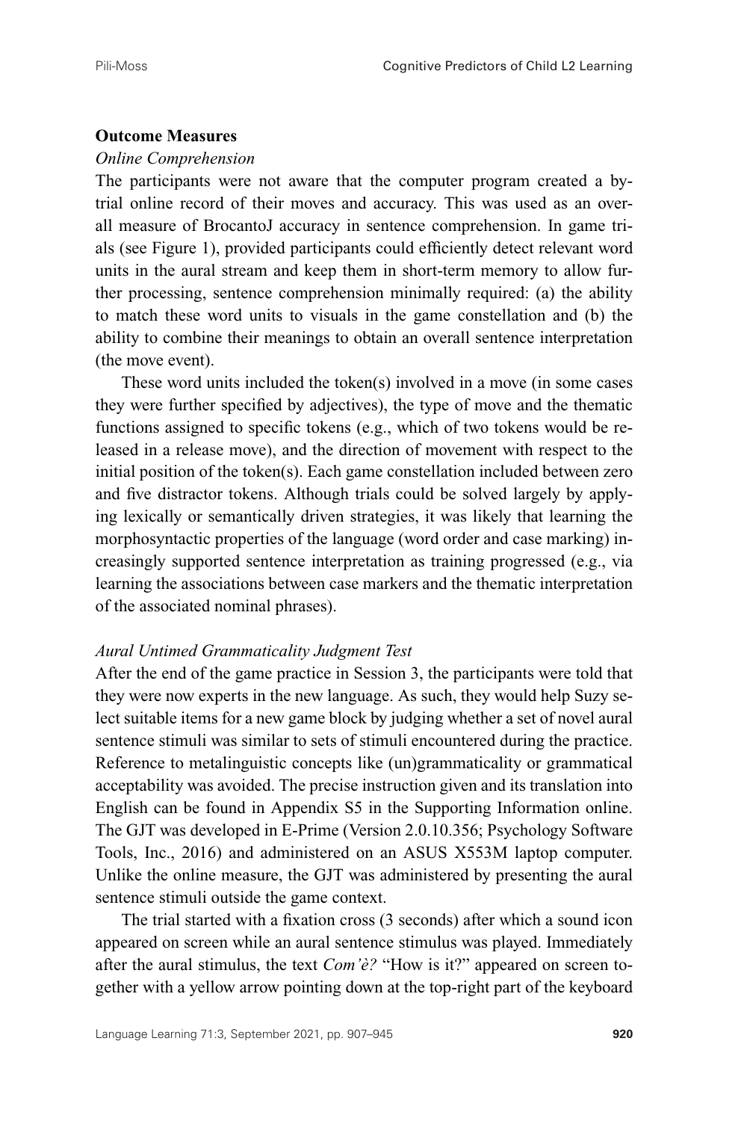#### **Outcome Measures**

#### *Online Comprehension*

The participants were not aware that the computer program created a bytrial online record of their moves and accuracy. This was used as an overall measure of BrocantoJ accuracy in sentence comprehension. In game trials (see Figure 1), provided participants could efficiently detect relevant word units in the aural stream and keep them in short-term memory to allow further processing, sentence comprehension minimally required: (a) the ability to match these word units to visuals in the game constellation and (b) the ability to combine their meanings to obtain an overall sentence interpretation (the move event).

These word units included the token(s) involved in a move (in some cases they were further specified by adjectives), the type of move and the thematic functions assigned to specific tokens (e.g., which of two tokens would be released in a release move), and the direction of movement with respect to the initial position of the token(s). Each game constellation included between zero and five distractor tokens. Although trials could be solved largely by applying lexically or semantically driven strategies, it was likely that learning the morphosyntactic properties of the language (word order and case marking) increasingly supported sentence interpretation as training progressed (e.g., via learning the associations between case markers and the thematic interpretation of the associated nominal phrases).

#### *Aural Untimed Grammaticality Judgment Test*

After the end of the game practice in Session 3, the participants were told that they were now experts in the new language. As such, they would help Suzy select suitable items for a new game block by judging whether a set of novel aural sentence stimuli was similar to sets of stimuli encountered during the practice. Reference to metalinguistic concepts like (un)grammaticality or grammatical acceptability was avoided. The precise instruction given and its translation into English can be found in Appendix S5 in the Supporting Information online. The GJT was developed in E-Prime (Version 2.0.10.356; Psychology Software Tools, Inc., 2016) and administered on an ASUS X553M laptop computer. Unlike the online measure, the GJT was administered by presenting the aural sentence stimuli outside the game context.

The trial started with a fixation cross (3 seconds) after which a sound icon appeared on screen while an aural sentence stimulus was played. Immediately after the aural stimulus, the text *Com'è?* "How is it?" appeared on screen together with a yellow arrow pointing down at the top-right part of the keyboard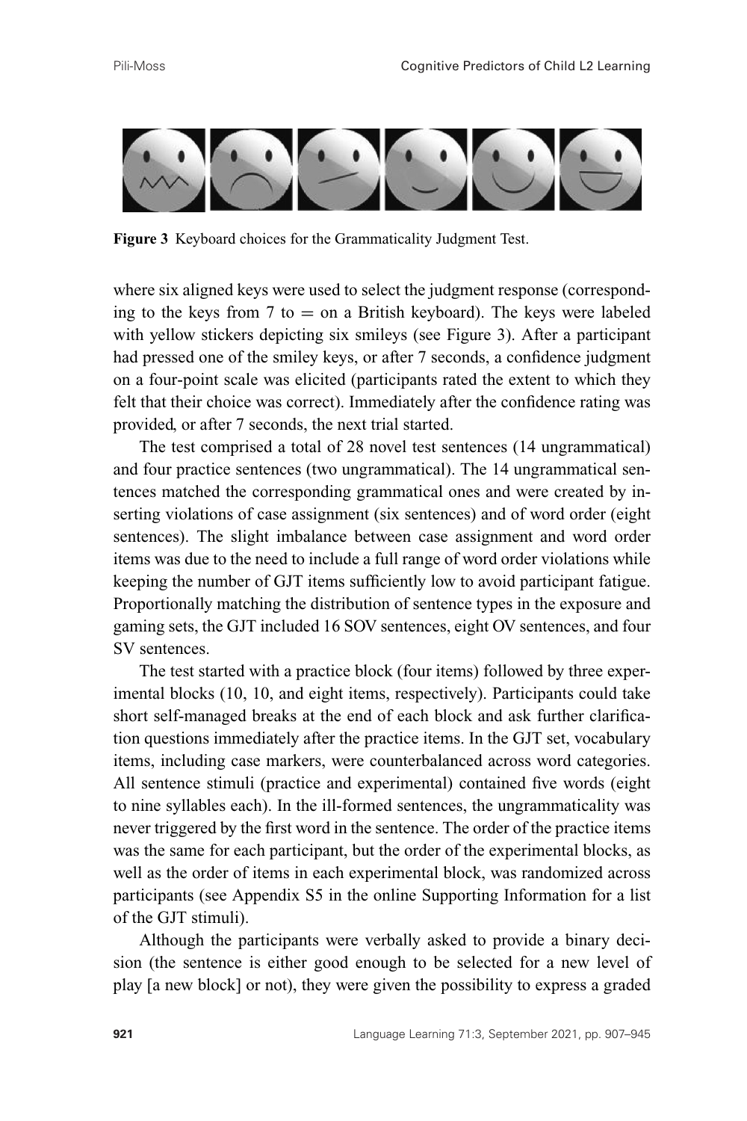

**Figure 3** Keyboard choices for the Grammaticality Judgment Test.

where six aligned keys were used to select the judgment response (corresponding to the keys from 7 to  $=$  on a British keyboard). The keys were labeled with yellow stickers depicting six smileys (see Figure 3). After a participant had pressed one of the smiley keys, or after 7 seconds, a confidence judgment on a four-point scale was elicited (participants rated the extent to which they felt that their choice was correct). Immediately after the confidence rating was provided, or after 7 seconds, the next trial started.

The test comprised a total of 28 novel test sentences (14 ungrammatical) and four practice sentences (two ungrammatical). The 14 ungrammatical sentences matched the corresponding grammatical ones and were created by inserting violations of case assignment (six sentences) and of word order (eight sentences). The slight imbalance between case assignment and word order items was due to the need to include a full range of word order violations while keeping the number of GJT items sufficiently low to avoid participant fatigue. Proportionally matching the distribution of sentence types in the exposure and gaming sets, the GJT included 16 SOV sentences, eight OV sentences, and four SV sentences.

The test started with a practice block (four items) followed by three experimental blocks (10, 10, and eight items, respectively). Participants could take short self-managed breaks at the end of each block and ask further clarification questions immediately after the practice items. In the GJT set, vocabulary items, including case markers, were counterbalanced across word categories. All sentence stimuli (practice and experimental) contained five words (eight to nine syllables each). In the ill-formed sentences, the ungrammaticality was never triggered by the first word in the sentence. The order of the practice items was the same for each participant, but the order of the experimental blocks, as well as the order of items in each experimental block, was randomized across participants (see Appendix S5 in the online Supporting Information for a list of the GJT stimuli).

Although the participants were verbally asked to provide a binary decision (the sentence is either good enough to be selected for a new level of play [a new block] or not), they were given the possibility to express a graded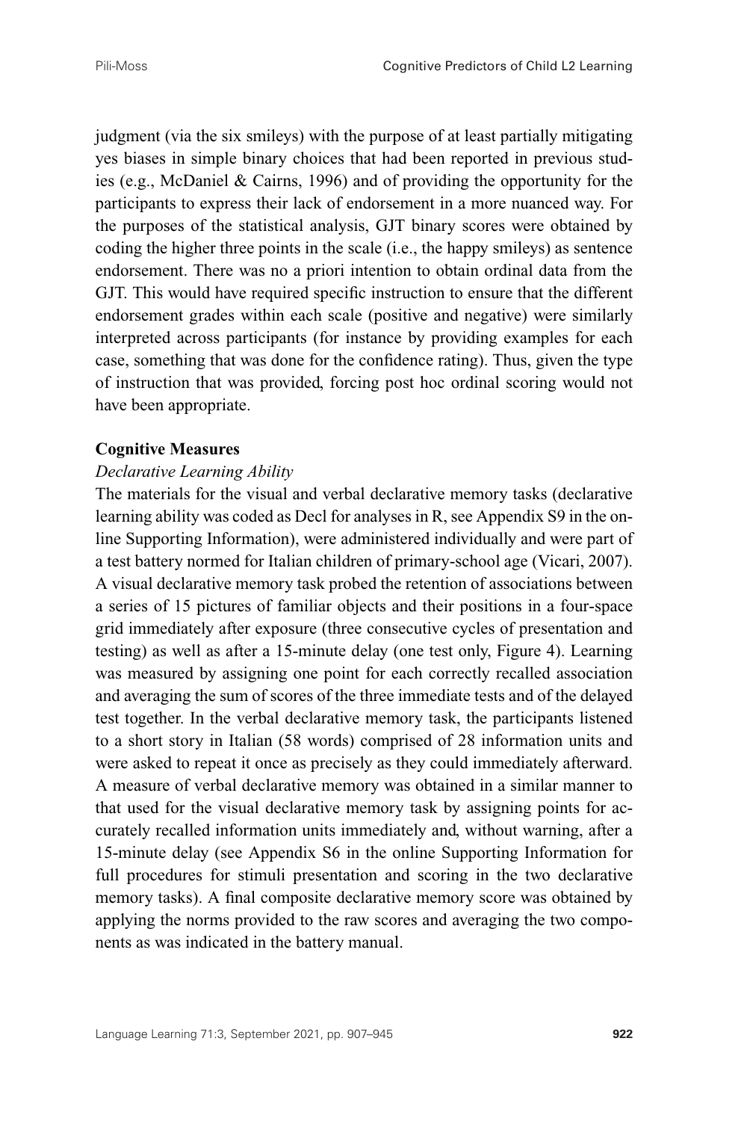judgment (via the six smileys) with the purpose of at least partially mitigating yes biases in simple binary choices that had been reported in previous studies (e.g., McDaniel & Cairns, 1996) and of providing the opportunity for the participants to express their lack of endorsement in a more nuanced way. For the purposes of the statistical analysis, GJT binary scores were obtained by coding the higher three points in the scale (i.e., the happy smileys) as sentence endorsement. There was no a priori intention to obtain ordinal data from the GJT. This would have required specific instruction to ensure that the different endorsement grades within each scale (positive and negative) were similarly interpreted across participants (for instance by providing examples for each case, something that was done for the confidence rating). Thus, given the type of instruction that was provided, forcing post hoc ordinal scoring would not have been appropriate.

#### **Cognitive Measures**

#### *Declarative Learning Ability*

The materials for the visual and verbal declarative memory tasks (declarative learning ability was coded as Decl for analyses in R, see Appendix S9 in the online Supporting Information), were administered individually and were part of a test battery normed for Italian children of primary-school age (Vicari, 2007). A visual declarative memory task probed the retention of associations between a series of 15 pictures of familiar objects and their positions in a four-space grid immediately after exposure (three consecutive cycles of presentation and testing) as well as after a 15-minute delay (one test only, Figure 4). Learning was measured by assigning one point for each correctly recalled association and averaging the sum of scores of the three immediate tests and of the delayed test together. In the verbal declarative memory task, the participants listened to a short story in Italian (58 words) comprised of 28 information units and were asked to repeat it once as precisely as they could immediately afterward. A measure of verbal declarative memory was obtained in a similar manner to that used for the visual declarative memory task by assigning points for accurately recalled information units immediately and, without warning, after a 15-minute delay (see Appendix S6 in the online Supporting Information for full procedures for stimuli presentation and scoring in the two declarative memory tasks). A final composite declarative memory score was obtained by applying the norms provided to the raw scores and averaging the two components as was indicated in the battery manual.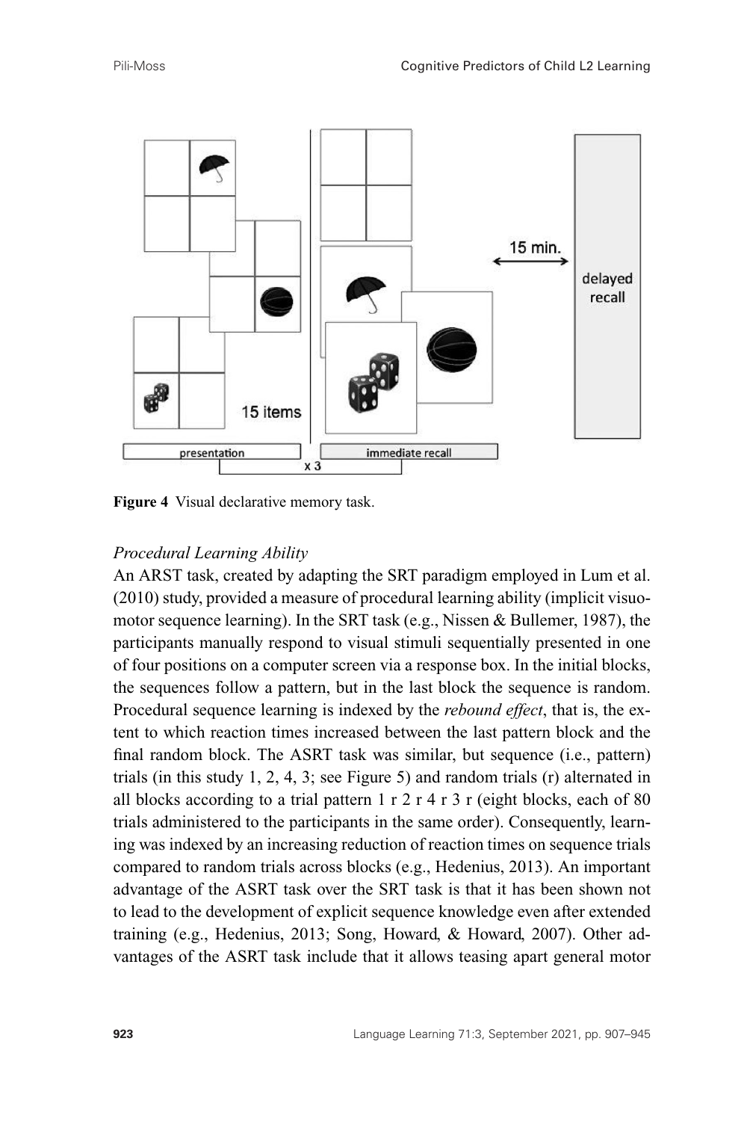

**Figure 4** Visual declarative memory task.

## *Procedural Learning Ability*

An ARST task, created by adapting the SRT paradigm employed in Lum et al. (2010) study, provided a measure of procedural learning ability (implicit visuomotor sequence learning). In the SRT task (e.g., Nissen & Bullemer, 1987), the participants manually respond to visual stimuli sequentially presented in one of four positions on a computer screen via a response box. In the initial blocks, the sequences follow a pattern, but in the last block the sequence is random. Procedural sequence learning is indexed by the *rebound effect*, that is, the extent to which reaction times increased between the last pattern block and the final random block. The ASRT task was similar, but sequence (i.e., pattern) trials (in this study 1, 2, 4, 3; see Figure 5) and random trials (r) alternated in all blocks according to a trial pattern  $1 r 2 r 4 r 3 r$  (eight blocks, each of 80 trials administered to the participants in the same order). Consequently, learning was indexed by an increasing reduction of reaction times on sequence trials compared to random trials across blocks (e.g., Hedenius, 2013). An important advantage of the ASRT task over the SRT task is that it has been shown not to lead to the development of explicit sequence knowledge even after extended training (e.g., Hedenius, 2013; Song, Howard, & Howard, 2007). Other advantages of the ASRT task include that it allows teasing apart general motor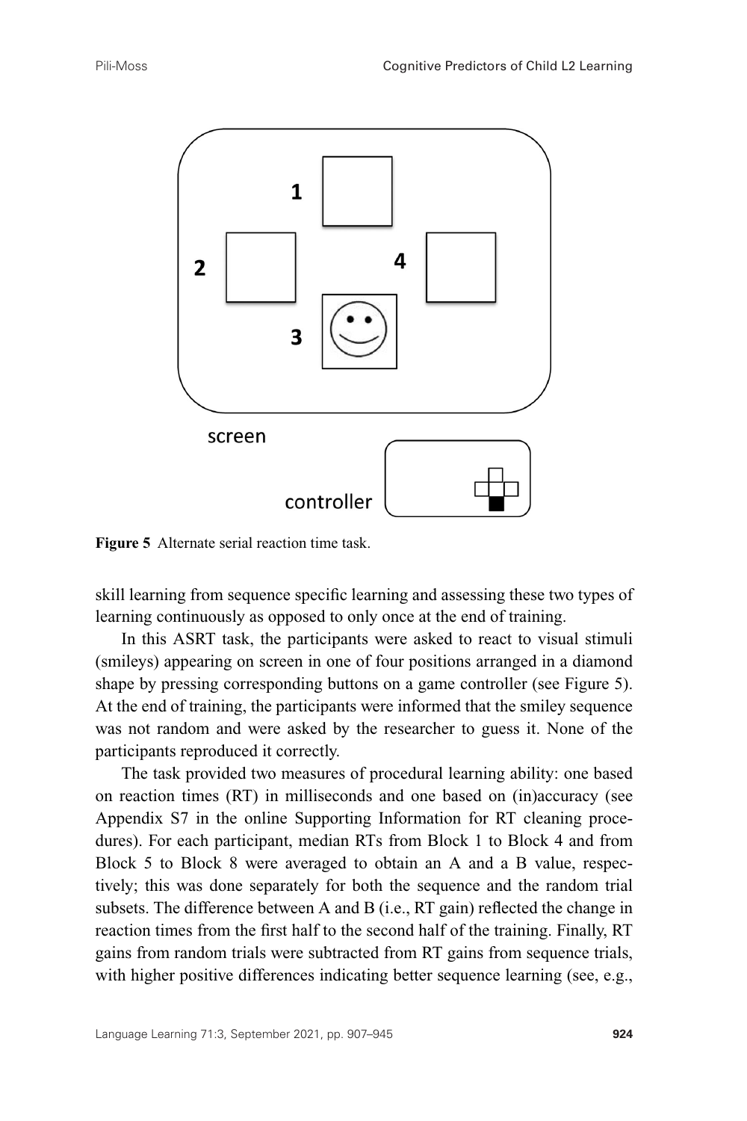

**Figure 5** Alternate serial reaction time task.

skill learning from sequence specific learning and assessing these two types of learning continuously as opposed to only once at the end of training.

In this ASRT task, the participants were asked to react to visual stimuli (smileys) appearing on screen in one of four positions arranged in a diamond shape by pressing corresponding buttons on a game controller (see Figure 5). At the end of training, the participants were informed that the smiley sequence was not random and were asked by the researcher to guess it. None of the participants reproduced it correctly.

The task provided two measures of procedural learning ability: one based on reaction times (RT) in milliseconds and one based on (in)accuracy (see Appendix S7 in the online Supporting Information for RT cleaning procedures). For each participant, median RTs from Block 1 to Block 4 and from Block 5 to Block 8 were averaged to obtain an A and a B value, respectively; this was done separately for both the sequence and the random trial subsets. The difference between A and B (i.e., RT gain) reflected the change in reaction times from the first half to the second half of the training. Finally, RT gains from random trials were subtracted from RT gains from sequence trials, with higher positive differences indicating better sequence learning (see, e.g.,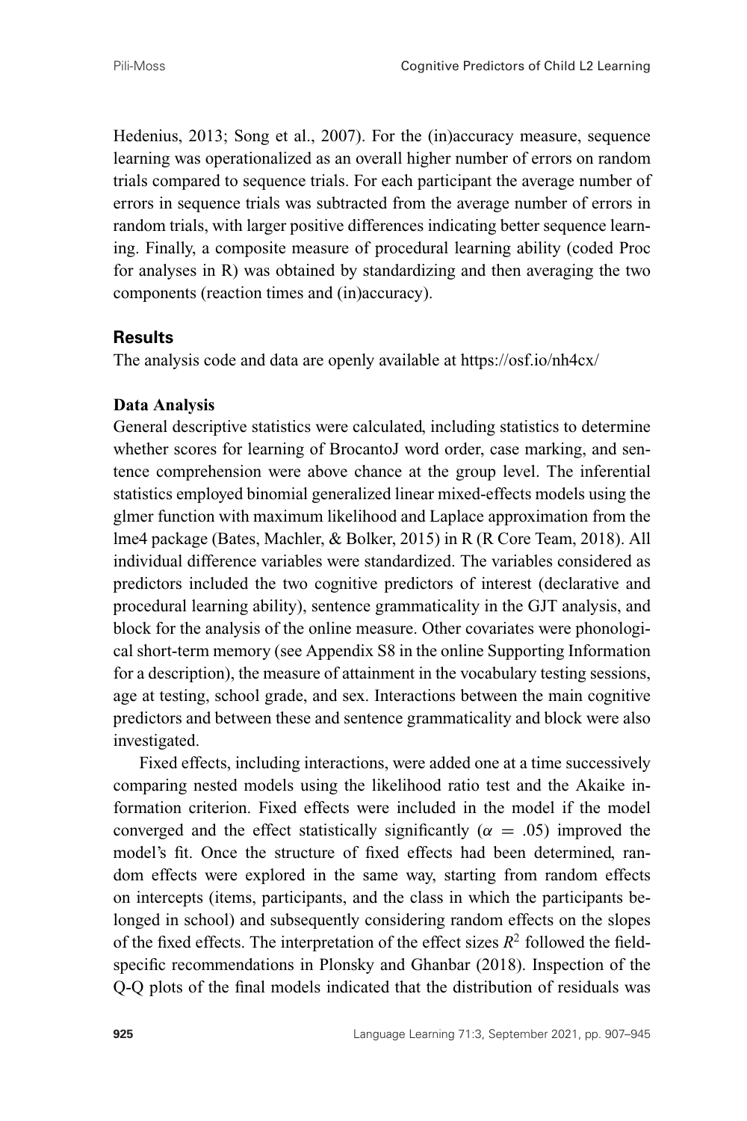Hedenius, 2013; Song et al., 2007). For the (in)accuracy measure, sequence learning was operationalized as an overall higher number of errors on random trials compared to sequence trials. For each participant the average number of errors in sequence trials was subtracted from the average number of errors in random trials, with larger positive differences indicating better sequence learning. Finally, a composite measure of procedural learning ability (coded Proc for analyses in R) was obtained by standardizing and then averaging the two components (reaction times and (in)accuracy).

#### **Results**

The analysis code and data are openly available at<https://osf.io/nh4cx/>

#### **Data Analysis**

General descriptive statistics were calculated, including statistics to determine whether scores for learning of BrocantoJ word order, case marking, and sentence comprehension were above chance at the group level. The inferential statistics employed binomial generalized linear mixed-effects models using the glmer function with maximum likelihood and Laplace approximation from the lme4 package (Bates, Machler, & Bolker, 2015) in R (R Core Team, 2018). All individual difference variables were standardized. The variables considered as predictors included the two cognitive predictors of interest (declarative and procedural learning ability), sentence grammaticality in the GJT analysis, and block for the analysis of the online measure. Other covariates were phonological short-term memory (see Appendix S8 in the online Supporting Information for a description), the measure of attainment in the vocabulary testing sessions, age at testing, school grade, and sex. Interactions between the main cognitive predictors and between these and sentence grammaticality and block were also investigated.

Fixed effects, including interactions, were added one at a time successively comparing nested models using the likelihood ratio test and the Akaike information criterion. Fixed effects were included in the model if the model converged and the effect statistically significantly ( $\alpha = .05$ ) improved the model's fit. Once the structure of fixed effects had been determined, random effects were explored in the same way, starting from random effects on intercepts (items, participants, and the class in which the participants belonged in school) and subsequently considering random effects on the slopes of the fixed effects. The interpretation of the effect sizes  $R^2$  followed the fieldspecific recommendations in Plonsky and Ghanbar (2018). Inspection of the Q-Q plots of the final models indicated that the distribution of residuals was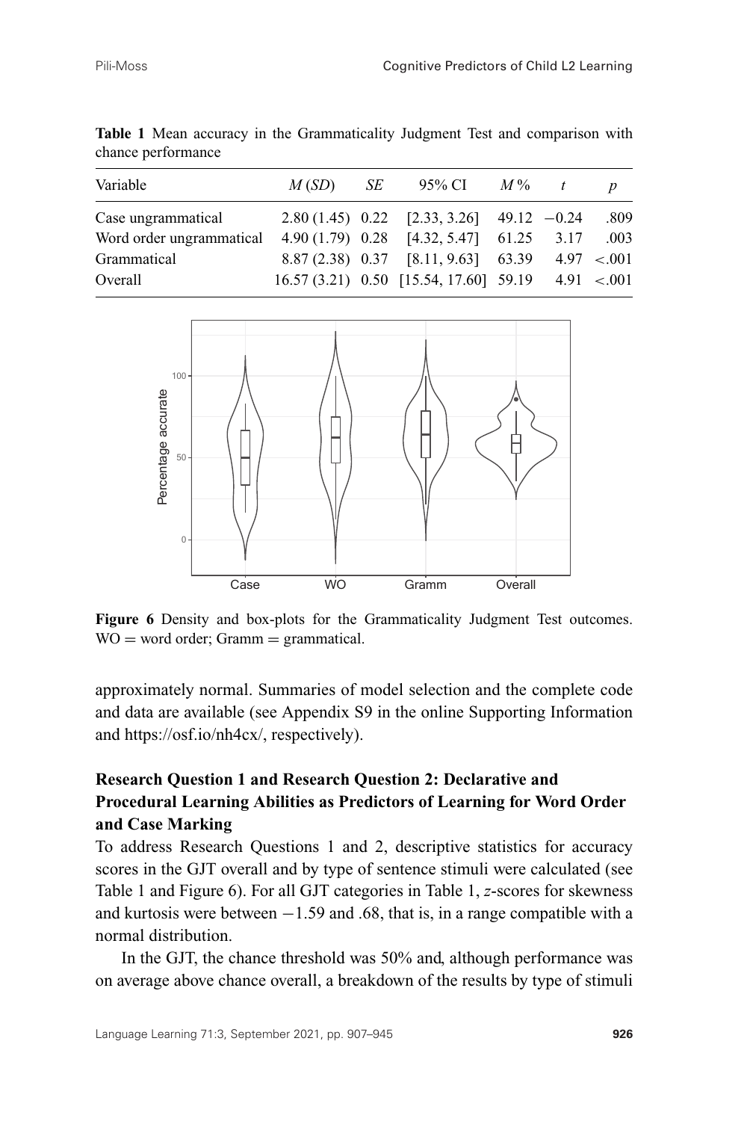| Variable                 | M(SD) | SE | 95% CI $M\%$ t                                     |  | $\boldsymbol{p}$ |
|--------------------------|-------|----|----------------------------------------------------|--|------------------|
| Case ungrammatical       |       |    | 2.80 (1.45) 0.22 [2.33, 3.26] 49.12 $-0.24$        |  | .809             |
| Word order ungrammatical |       |    | $4.90(1.79)$ 0.28 [4.32, 5.47] 61.25 3.17          |  | .003             |
| Grammatical              |       |    | $8.87(2.38)$ 0.37 [8.11, 9.63] 63.39 4.97 <.001    |  |                  |
| Overall                  |       |    | $16.57(3.21)$ 0.50 [15.54, 17.60] 59.19 4.91 <.001 |  |                  |

**Table 1** Mean accuracy in the Grammaticality Judgment Test and comparison with chance performance



**Figure 6** Density and box-plots for the Grammaticality Judgment Test outcomes.  $WO = word order$ ; Gramm = grammatical.

approximately normal. Summaries of model selection and the complete code and data are available (see Appendix S9 in the online Supporting Information and [https://osf.io/nh4cx/,](https://osf.io/nh4cx/) respectively).

## **Research Question 1 and Research Question 2: Declarative and Procedural Learning Abilities as Predictors of Learning for Word Order and Case Marking**

To address Research Questions 1 and 2, descriptive statistics for accuracy scores in the GJT overall and by type of sentence stimuli were calculated (see Table 1 and Figure 6). For all GJT categories in Table 1, *z*-scores for skewness and kurtosis were between  $-1.59$  and  $.68$ , that is, in a range compatible with a normal distribution.

In the GJT, the chance threshold was 50% and, although performance was on average above chance overall, a breakdown of the results by type of stimuli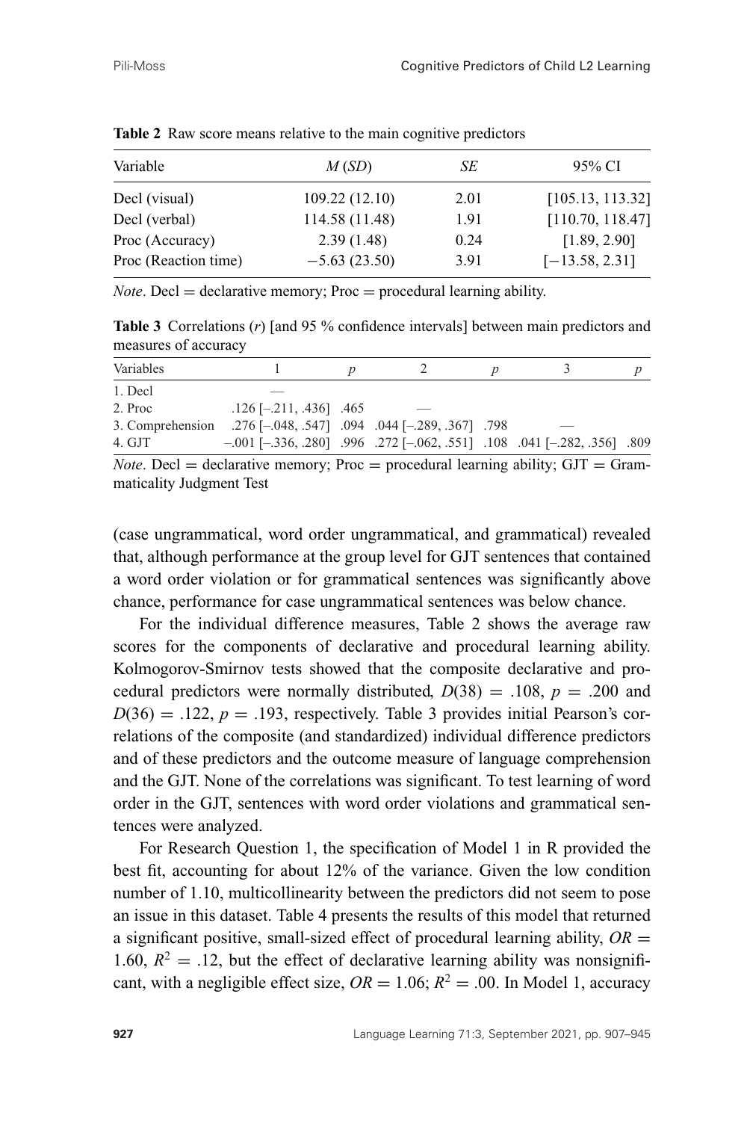| M(SD)          | SE   | 95% CI           |
|----------------|------|------------------|
| 109.22 (12.10) | 2.01 | [105.13, 113.32] |
| 114.58 (11.48) | 1.91 | [110.70, 118.47] |
| 2.39(1.48)     | 0.24 | [1.89, 2.90]     |
| $-5.63(23.50)$ | 3.91 | $[-13.58, 2.31]$ |
|                |      |                  |

Table 2 Raw score means relative to the main cognitive predictors

*Note*. Decl  $=$  declarative memory; Proc  $=$  procedural learning ability.

**Table 3** Correlations (*r*) [and 95 % confidence intervals] between main predictors and measures of accuracy

| Variables |                                                                                            |  |  |  |
|-----------|--------------------------------------------------------------------------------------------|--|--|--|
| 1. Decl   |                                                                                            |  |  |  |
| 2. Proc   | $.126$ [-.211, .436] .465                                                                  |  |  |  |
|           | .798. [289, .367] 0.044. [289, .367] 3. Comprehension .276 [-.048, .547]                   |  |  |  |
| 4. GJT    | $-.001$ $[-.336, .280]$ $.996$ $.272$ $[-.062, .551]$ $.108$ $.041$ $[-.282, .356]$ $.809$ |  |  |  |
|           | $Note \text{Det} - decl-$                                                                  |  |  |  |

*Note*. Decl  $=$  declarative memory; Proc  $=$  procedural learning ability;  $GJT = Gram$ maticality Judgment Test

(case ungrammatical, word order ungrammatical, and grammatical) revealed that, although performance at the group level for GJT sentences that contained a word order violation or for grammatical sentences was significantly above chance, performance for case ungrammatical sentences was below chance.

For the individual difference measures, Table 2 shows the average raw scores for the components of declarative and procedural learning ability. Kolmogorov-Smirnov tests showed that the composite declarative and procedural predictors were normally distributed,  $D(38) = .108$ ,  $p = .200$  and  $D(36) = .122$ ,  $p = .193$ , respectively. Table 3 provides initial Pearson's correlations of the composite (and standardized) individual difference predictors and of these predictors and the outcome measure of language comprehension and the GJT. None of the correlations was significant. To test learning of word order in the GJT, sentences with word order violations and grammatical sentences were analyzed.

For Research Question 1, the specification of Model 1 in R provided the best fit, accounting for about 12% of the variance. Given the low condition number of 1.10, multicollinearity between the predictors did not seem to pose an issue in this dataset. Table 4 presents the results of this model that returned a significant positive, small-sized effect of procedural learning ability,  $OR =$ 1.60,  $R^2 = 0.12$ , but the effect of declarative learning ability was nonsignificant, with a negligible effect size,  $OR = 1.06$ ;  $R^2 = .00$ . In Model 1, accuracy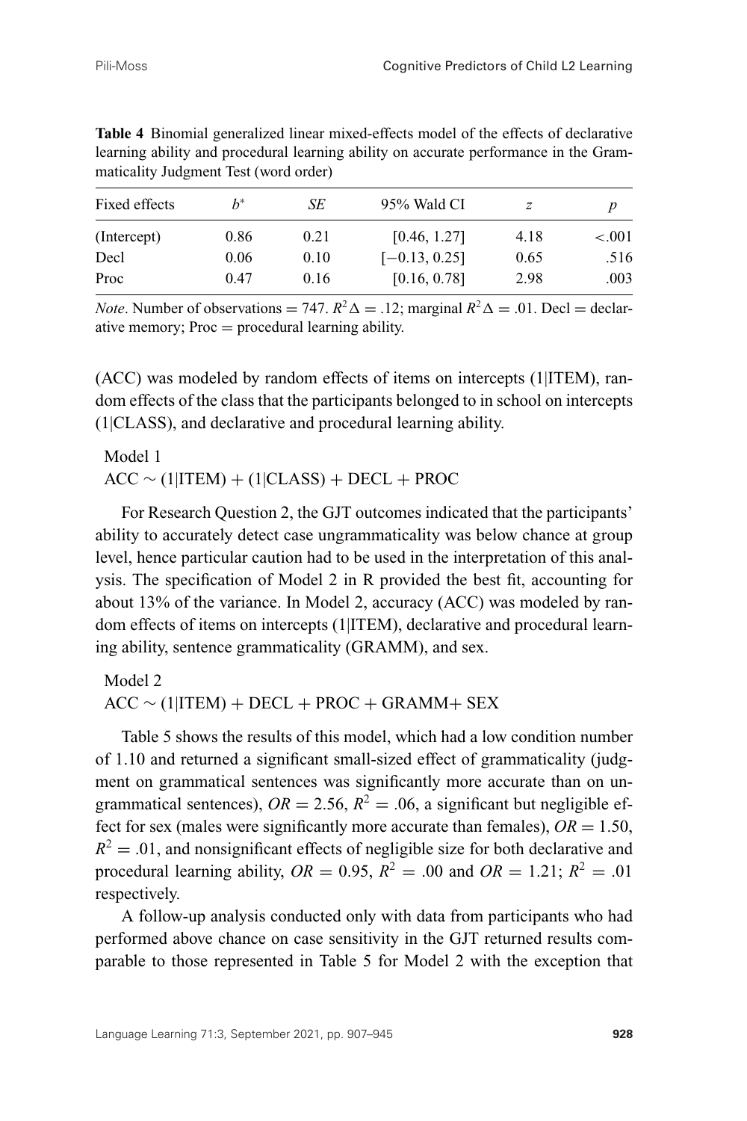| Fixed effects | $h^*$ | SЕ   | 95% Wald CI     | z    |           |
|---------------|-------|------|-----------------|------|-----------|
| (Intercept)   | 0.86  | 0.21 | [0.46, 1.27]    | 4.18 | ${<}.001$ |
| Decl          | 0.06  | 0.10 | $[-0.13, 0.25]$ | 0.65 | .516      |
| Proc          | 0.47  | 0.16 | [0.16, 0.78]    | 2.98 | .003      |

**Table 4** Binomial generalized linear mixed-effects model of the effects of declarative learning ability and procedural learning ability on accurate performance in the Grammaticality Judgment Test (word order)

*Note*. Number of observations = 747.  $R^2\Delta = .12$ ; marginal  $R^2\Delta = .01$ . Decl = declarative memory;  $Proc = procedural learning ability.$ 

(ACC) was modeled by random effects of items on intercepts (1|ITEM), random effects of the class that the participants belonged to in school on intercepts (1|CLASS), and declarative and procedural learning ability.

Model 1  $ACC \sim (1|ITEM) + (1|CLASS) + DECL + PROC$ 

For Research Question 2, the GJT outcomes indicated that the participants' ability to accurately detect case ungrammaticality was below chance at group level, hence particular caution had to be used in the interpretation of this analysis. The specification of Model 2 in R provided the best fit, accounting for about 13% of the variance. In Model 2, accuracy (ACC) was modeled by random effects of items on intercepts (1|ITEM), declarative and procedural learning ability, sentence grammaticality (GRAMM), and sex.

Model 2  $ACC \sim (1|ITEM) + DECL + PROC + GRAMM + SEX$ 

Table 5 shows the results of this model, which had a low condition number of 1.10 and returned a significant small-sized effect of grammaticality (judgment on grammatical sentences was significantly more accurate than on ungrammatical sentences),  $OR = 2.56$ ,  $R^2 = .06$ , a significant but negligible effect for sex (males were significantly more accurate than females),  $OR = 1.50$ ,  $R^2 = .01$ , and nonsignificant effects of negligible size for both declarative and procedural learning ability,  $OR = 0.95$ ,  $R^2 = .00$  and  $OR = 1.21$ ;  $R^2 = .01$ respectively.

A follow-up analysis conducted only with data from participants who had performed above chance on case sensitivity in the GJT returned results comparable to those represented in Table 5 for Model 2 with the exception that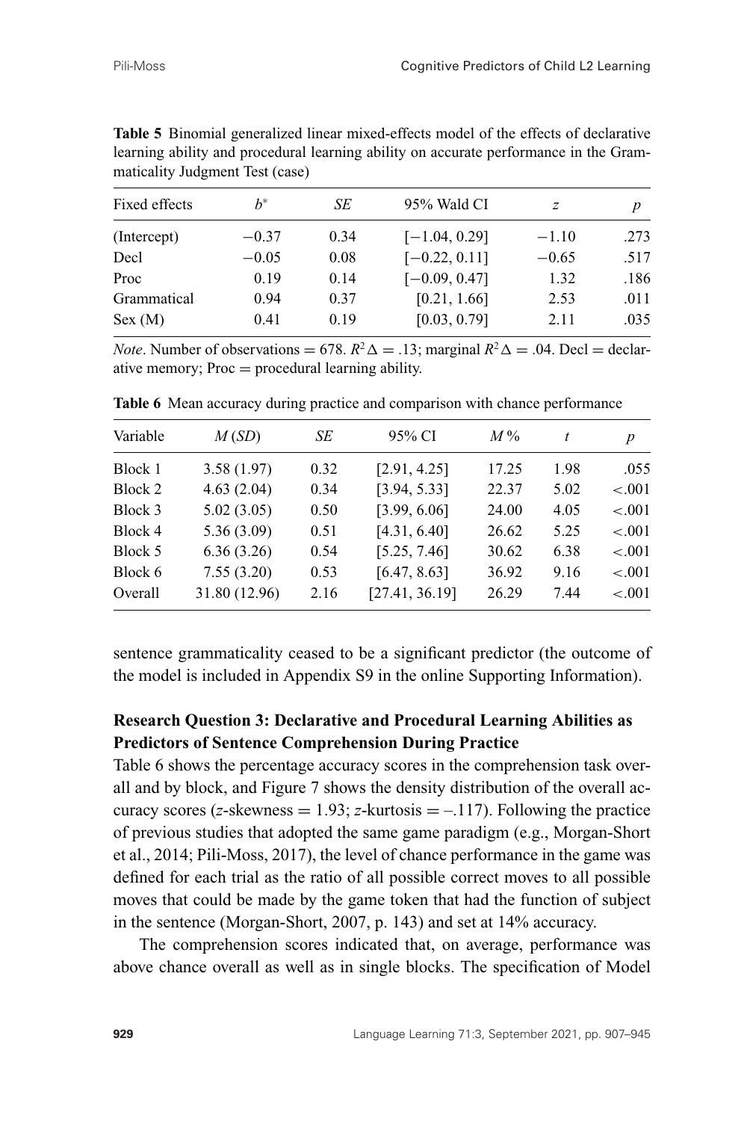| Fixed effects | $h^*$   | SЕ   | 95% Wald CI     | z       | p    |
|---------------|---------|------|-----------------|---------|------|
| (Intercept)   | $-0.37$ | 0.34 | $[-1.04, 0.29]$ | $-1.10$ | .273 |
| Decl          | $-0.05$ | 0.08 | $[-0.22, 0.11]$ | $-0.65$ | .517 |
| Proc          | 0.19    | 0.14 | $[-0.09, 0.47]$ | 1.32    | .186 |
| Grammatical   | 0.94    | 0.37 | [0.21, 1.66]    | 2.53    | .011 |
| Sex (M)       | 0.41    | 0.19 | [0.03, 0.79]    | 2.11    | .035 |
|               |         |      |                 |         |      |

**Table 5** Binomial generalized linear mixed-effects model of the effects of declarative learning ability and procedural learning ability on accurate performance in the Grammaticality Judgment Test (case)

*Note*. Number of observations = 678.  $R^2 \Delta = .13$ ; marginal  $R^2 \Delta = .04$ . Decl = declarative memory; Proc = procedural learning ability.

| Variable | M(SD)         | SE   | 95% CI         | $M\%$ |      | $\boldsymbol{p}$ |
|----------|---------------|------|----------------|-------|------|------------------|
| Block 1  | 3.58(1.97)    | 0.32 | [2.91, 4.25]   | 17.25 | 1.98 | .055             |
| Block 2  | 4.63(2.04)    | 0.34 | [3.94, 5.33]   | 22.37 | 5.02 | $-.001$          |
| Block 3  | 5.02(3.05)    | 0.50 | [3.99, 6.06]   | 24.00 | 4.05 | $-.001$          |
| Block 4  | 5.36(3.09)    | 0.51 | [4.31, 6.40]   | 26.62 | 5.25 | $-.001$          |
| Block 5  | 6.36(3.26)    | 0.54 | [5.25, 7.46]   | 30.62 | 6.38 | $-.001$          |
| Block 6  | 7.55(3.20)    | 0.53 | [6.47, 8.63]   | 36.92 | 9.16 | $-.001$          |
| Overall  | 31.80 (12.96) | 2.16 | [27.41, 36.19] | 26.29 | 7.44 | $-.001$          |

**Table 6** Mean accuracy during practice and comparison with chance performance

sentence grammaticality ceased to be a significant predictor (the outcome of the model is included in Appendix S9 in the online Supporting Information).

## **Research Question 3: Declarative and Procedural Learning Abilities as Predictors of Sentence Comprehension During Practice**

Table 6 shows the percentage accuracy scores in the comprehension task overall and by block, and Figure 7 shows the density distribution of the overall accuracy scores (*z*-skewness  $= 1.93$ ; *z*-kurtosis  $= -117$ ). Following the practice of previous studies that adopted the same game paradigm (e.g., Morgan-Short et al., 2014; Pili-Moss, 2017), the level of chance performance in the game was defined for each trial as the ratio of all possible correct moves to all possible moves that could be made by the game token that had the function of subject in the sentence (Morgan-Short, 2007, p. 143) and set at 14% accuracy.

The comprehension scores indicated that, on average, performance was above chance overall as well as in single blocks. The specification of Model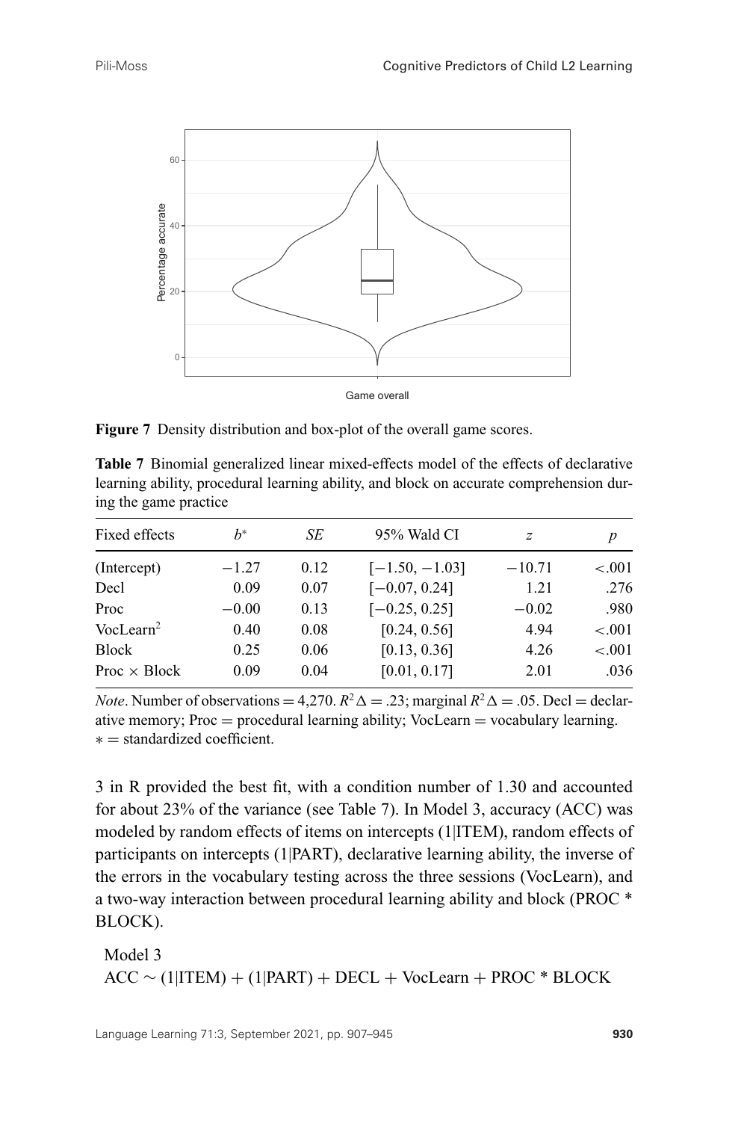

**Figure 7** Density distribution and box-plot of the overall game scores.

| <b>Table 7</b> Binomial generalized linear mixed-effects model of the effects of declarative |  |
|----------------------------------------------------------------------------------------------|--|
| learning ability, procedural learning ability, and block on accurate comprehension dur-      |  |
| ing the game practice                                                                        |  |

| Fixed effects         | $h^*$   | SE   | 95% Wald CI      | $\boldsymbol{z}$ | $\boldsymbol{p}$ |
|-----------------------|---------|------|------------------|------------------|------------------|
| (Intercept)           | $-1.27$ | 0.12 | $[-1.50, -1.03]$ | $-10.71$         | < 0.001          |
| Decl                  | 0.09    | 0.07 | $[-0.07, 0.24]$  | 1.21             | .276             |
| Proc                  | $-0.00$ | 0.13 | $[-0.25, 0.25]$  | $-0.02$          | .980             |
| VocLearn <sup>2</sup> | 0.40    | 0.08 | [0.24, 0.56]     | 4.94             | < 0.001          |
| <b>Block</b>          | 0.25    | 0.06 | [0.13, 0.36]     | 4.26             | < 0.001          |
| Proc $\times$ Block   | 0.09    | 0.04 | [0.01, 0.17]     | 2.01             | .036             |

*Note*. Number of observations = 4,270.  $R^2\Delta = 0.23$ ; marginal  $R^2\Delta = 0.05$ . Decl = declarative memory;  $Proc = procedural learning ability$ ; VocLearn  $=$  vocabulary learning. ∗ = standardized coefficient.

3 in R provided the best fit, with a condition number of 1.30 and accounted for about 23% of the variance (see Table 7). In Model 3, accuracy (ACC) was modeled by random effects of items on intercepts (1|ITEM), random effects of participants on intercepts (1|PART), declarative learning ability, the inverse of the errors in the vocabulary testing across the three sessions (VocLearn), and a two-way interaction between procedural learning ability and block (PROC \* BLOCK).

Model 3  $ACC \sim (1|ITEM) + (1|PART) + DECL + VocLearn + PROC * BLOCK$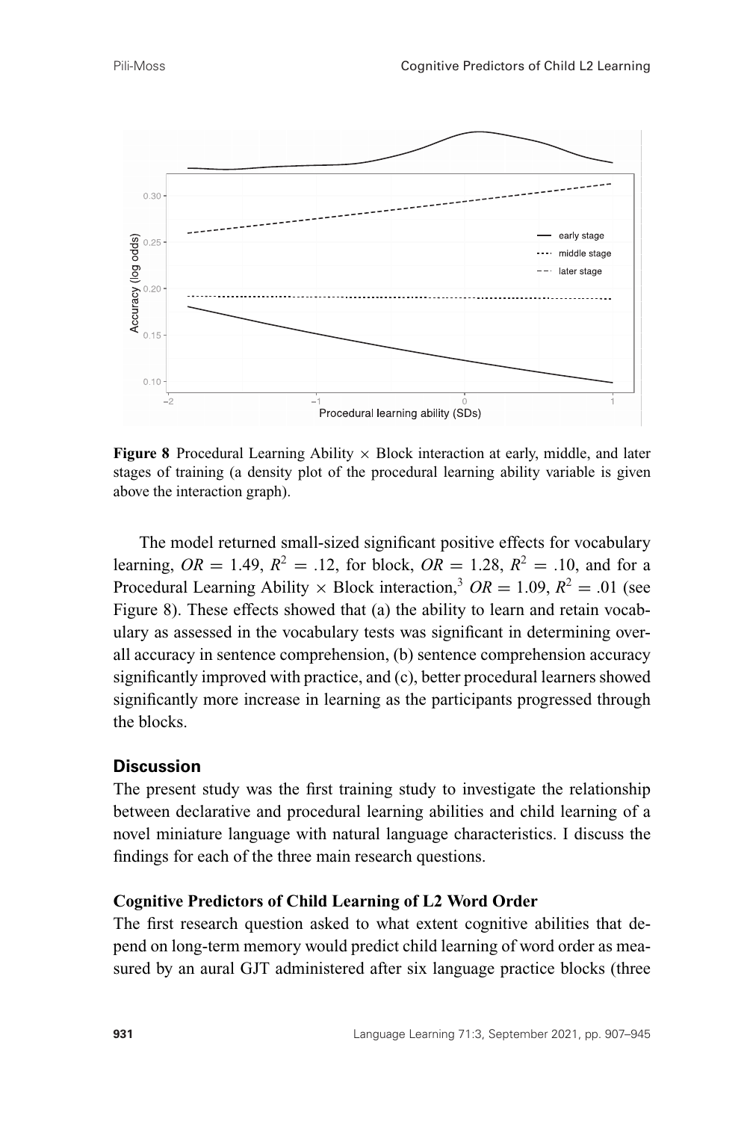

**Figure 8** Procedural Learning Ability  $\times$  Block interaction at early, middle, and later stages of training (a density plot of the procedural learning ability variable is given above the interaction graph).

The model returned small-sized significant positive effects for vocabulary learning,  $OR = 1.49$ ,  $R^2 = .12$ , for block,  $OR = 1.28$ ,  $R^2 = .10$ , and for a Procedural Learning Ability  $\times$  Block interaction,<sup>3</sup> *OR* = 1.09,  $R^2$  = .01 (see Figure 8). These effects showed that (a) the ability to learn and retain vocabulary as assessed in the vocabulary tests was significant in determining overall accuracy in sentence comprehension, (b) sentence comprehension accuracy significantly improved with practice, and (c), better procedural learners showed significantly more increase in learning as the participants progressed through the blocks.

#### **Discussion**

The present study was the first training study to investigate the relationship between declarative and procedural learning abilities and child learning of a novel miniature language with natural language characteristics. I discuss the findings for each of the three main research questions.

#### **Cognitive Predictors of Child Learning of L2 Word Order**

The first research question asked to what extent cognitive abilities that depend on long-term memory would predict child learning of word order as measured by an aural GJT administered after six language practice blocks (three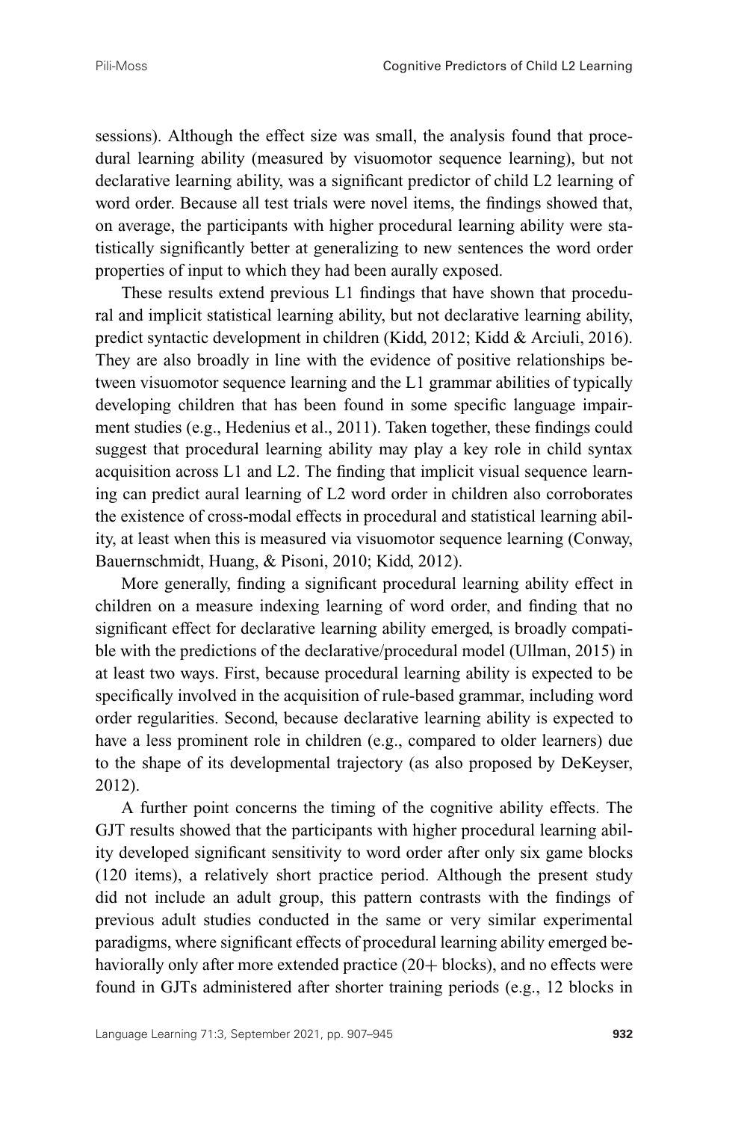sessions). Although the effect size was small, the analysis found that procedural learning ability (measured by visuomotor sequence learning), but not declarative learning ability, was a significant predictor of child L2 learning of word order. Because all test trials were novel items, the findings showed that, on average, the participants with higher procedural learning ability were statistically significantly better at generalizing to new sentences the word order properties of input to which they had been aurally exposed.

These results extend previous L1 findings that have shown that procedural and implicit statistical learning ability, but not declarative learning ability, predict syntactic development in children (Kidd, 2012; Kidd & Arciuli, 2016). They are also broadly in line with the evidence of positive relationships between visuomotor sequence learning and the L1 grammar abilities of typically developing children that has been found in some specific language impairment studies (e.g., Hedenius et al., 2011). Taken together, these findings could suggest that procedural learning ability may play a key role in child syntax acquisition across L1 and L2. The finding that implicit visual sequence learning can predict aural learning of L2 word order in children also corroborates the existence of cross-modal effects in procedural and statistical learning ability, at least when this is measured via visuomotor sequence learning (Conway, Bauernschmidt, Huang, & Pisoni, 2010; Kidd, 2012).

More generally, finding a significant procedural learning ability effect in children on a measure indexing learning of word order, and finding that no significant effect for declarative learning ability emerged, is broadly compatible with the predictions of the declarative/procedural model (Ullman, 2015) in at least two ways. First, because procedural learning ability is expected to be specifically involved in the acquisition of rule-based grammar, including word order regularities. Second, because declarative learning ability is expected to have a less prominent role in children (e.g., compared to older learners) due to the shape of its developmental trajectory (as also proposed by DeKeyser, 2012).

A further point concerns the timing of the cognitive ability effects. The GJT results showed that the participants with higher procedural learning ability developed significant sensitivity to word order after only six game blocks (120 items), a relatively short practice period. Although the present study did not include an adult group, this pattern contrasts with the findings of previous adult studies conducted in the same or very similar experimental paradigms, where significant effects of procedural learning ability emerged behaviorally only after more extended practice (20+ blocks), and no effects were found in GJTs administered after shorter training periods (e.g., 12 blocks in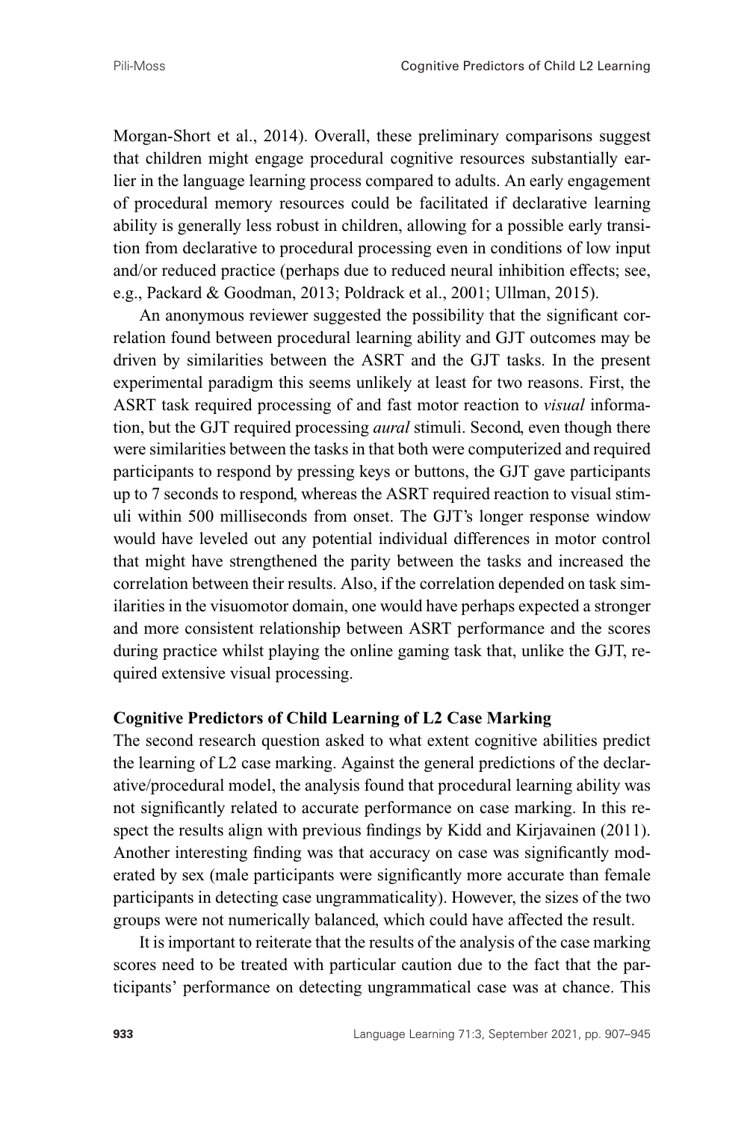Morgan-Short et al., 2014). Overall, these preliminary comparisons suggest that children might engage procedural cognitive resources substantially earlier in the language learning process compared to adults. An early engagement of procedural memory resources could be facilitated if declarative learning ability is generally less robust in children, allowing for a possible early transition from declarative to procedural processing even in conditions of low input and/or reduced practice (perhaps due to reduced neural inhibition effects; see, e.g., Packard & Goodman, 2013; Poldrack et al., 2001; Ullman, 2015).

An anonymous reviewer suggested the possibility that the significant correlation found between procedural learning ability and GJT outcomes may be driven by similarities between the ASRT and the GJT tasks. In the present experimental paradigm this seems unlikely at least for two reasons. First, the ASRT task required processing of and fast motor reaction to *visual* information, but the GJT required processing *aural* stimuli. Second, even though there were similarities between the tasks in that both were computerized and required participants to respond by pressing keys or buttons, the GJT gave participants up to 7 seconds to respond, whereas the ASRT required reaction to visual stimuli within 500 milliseconds from onset. The GJT's longer response window would have leveled out any potential individual differences in motor control that might have strengthened the parity between the tasks and increased the correlation between their results. Also, if the correlation depended on task similarities in the visuomotor domain, one would have perhaps expected a stronger and more consistent relationship between ASRT performance and the scores during practice whilst playing the online gaming task that, unlike the GJT, required extensive visual processing.

#### **Cognitive Predictors of Child Learning of L2 Case Marking**

The second research question asked to what extent cognitive abilities predict the learning of L2 case marking. Against the general predictions of the declarative/procedural model, the analysis found that procedural learning ability was not significantly related to accurate performance on case marking. In this respect the results align with previous findings by Kidd and Kirjavainen (2011). Another interesting finding was that accuracy on case was significantly moderated by sex (male participants were significantly more accurate than female participants in detecting case ungrammaticality). However, the sizes of the two groups were not numerically balanced, which could have affected the result.

It is important to reiterate that the results of the analysis of the case marking scores need to be treated with particular caution due to the fact that the participants' performance on detecting ungrammatical case was at chance. This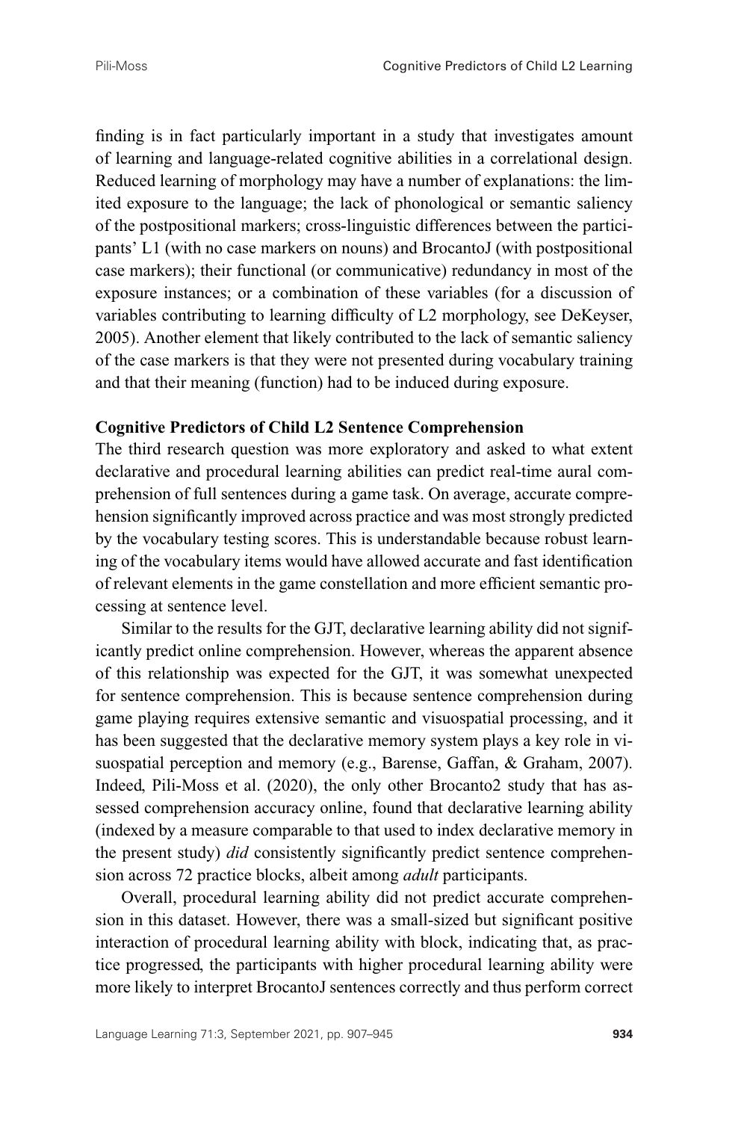finding is in fact particularly important in a study that investigates amount of learning and language-related cognitive abilities in a correlational design. Reduced learning of morphology may have a number of explanations: the limited exposure to the language; the lack of phonological or semantic saliency of the postpositional markers; cross-linguistic differences between the participants' L1 (with no case markers on nouns) and BrocantoJ (with postpositional case markers); their functional (or communicative) redundancy in most of the exposure instances; or a combination of these variables (for a discussion of variables contributing to learning difficulty of L2 morphology, see DeKeyser, 2005). Another element that likely contributed to the lack of semantic saliency of the case markers is that they were not presented during vocabulary training and that their meaning (function) had to be induced during exposure.

#### **Cognitive Predictors of Child L2 Sentence Comprehension**

The third research question was more exploratory and asked to what extent declarative and procedural learning abilities can predict real-time aural comprehension of full sentences during a game task. On average, accurate comprehension significantly improved across practice and was most strongly predicted by the vocabulary testing scores. This is understandable because robust learning of the vocabulary items would have allowed accurate and fast identification of relevant elements in the game constellation and more efficient semantic processing at sentence level.

Similar to the results for the GJT, declarative learning ability did not significantly predict online comprehension. However, whereas the apparent absence of this relationship was expected for the GJT, it was somewhat unexpected for sentence comprehension. This is because sentence comprehension during game playing requires extensive semantic and visuospatial processing, and it has been suggested that the declarative memory system plays a key role in visuospatial perception and memory (e.g., Barense, Gaffan, & Graham, 2007). Indeed, Pili-Moss et al. (2020), the only other Brocanto2 study that has assessed comprehension accuracy online, found that declarative learning ability (indexed by a measure comparable to that used to index declarative memory in the present study) *did* consistently significantly predict sentence comprehension across 72 practice blocks, albeit among *adult* participants.

Overall, procedural learning ability did not predict accurate comprehension in this dataset. However, there was a small-sized but significant positive interaction of procedural learning ability with block, indicating that, as practice progressed, the participants with higher procedural learning ability were more likely to interpret BrocantoJ sentences correctly and thus perform correct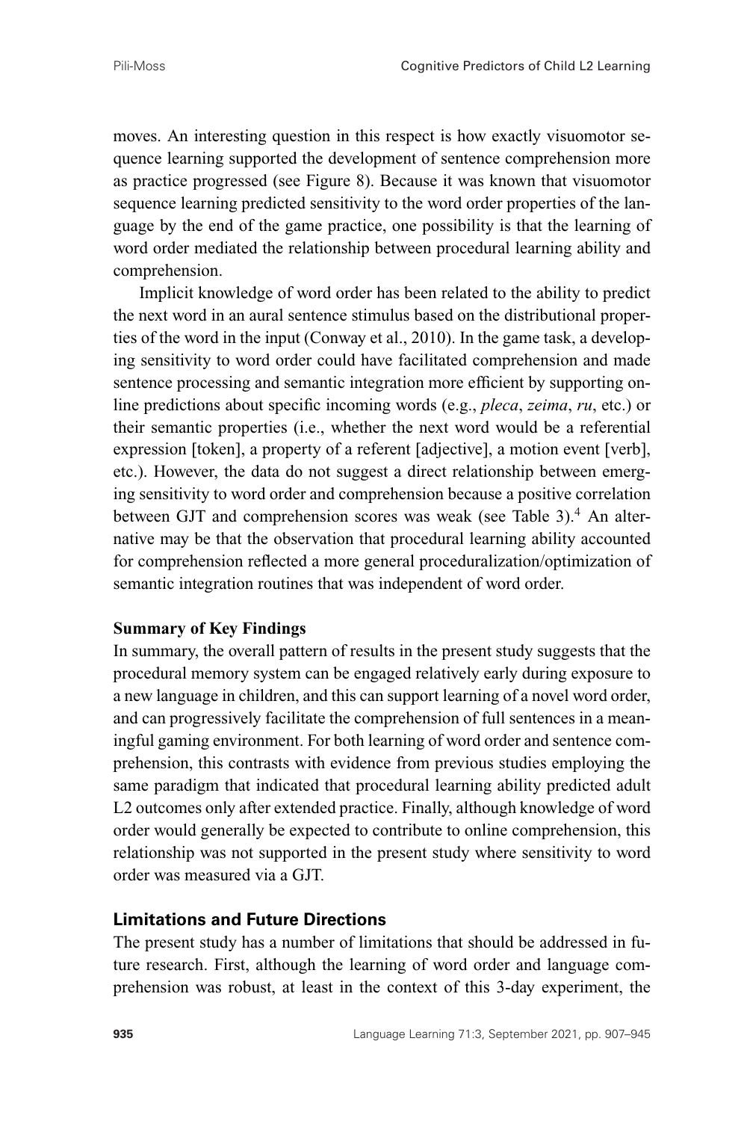moves. An interesting question in this respect is how exactly visuomotor sequence learning supported the development of sentence comprehension more as practice progressed (see Figure 8). Because it was known that visuomotor sequence learning predicted sensitivity to the word order properties of the language by the end of the game practice, one possibility is that the learning of word order mediated the relationship between procedural learning ability and comprehension.

Implicit knowledge of word order has been related to the ability to predict the next word in an aural sentence stimulus based on the distributional properties of the word in the input (Conway et al., 2010). In the game task, a developing sensitivity to word order could have facilitated comprehension and made sentence processing and semantic integration more efficient by supporting online predictions about specific incoming words (e.g., *pleca*, *zeima*, *ru*, etc.) or their semantic properties (i.e., whether the next word would be a referential expression [token], a property of a referent [adjective], a motion event [verb], etc.). However, the data do not suggest a direct relationship between emerging sensitivity to word order and comprehension because a positive correlation between GJT and comprehension scores was weak (see Table 3).<sup>4</sup> An alternative may be that the observation that procedural learning ability accounted for comprehension reflected a more general proceduralization/optimization of semantic integration routines that was independent of word order.

#### **Summary of Key Findings**

In summary, the overall pattern of results in the present study suggests that the procedural memory system can be engaged relatively early during exposure to a new language in children, and this can support learning of a novel word order, and can progressively facilitate the comprehension of full sentences in a meaningful gaming environment. For both learning of word order and sentence comprehension, this contrasts with evidence from previous studies employing the same paradigm that indicated that procedural learning ability predicted adult L2 outcomes only after extended practice. Finally, although knowledge of word order would generally be expected to contribute to online comprehension, this relationship was not supported in the present study where sensitivity to word order was measured via a GJT.

### **Limitations and Future Directions**

The present study has a number of limitations that should be addressed in future research. First, although the learning of word order and language comprehension was robust, at least in the context of this 3-day experiment, the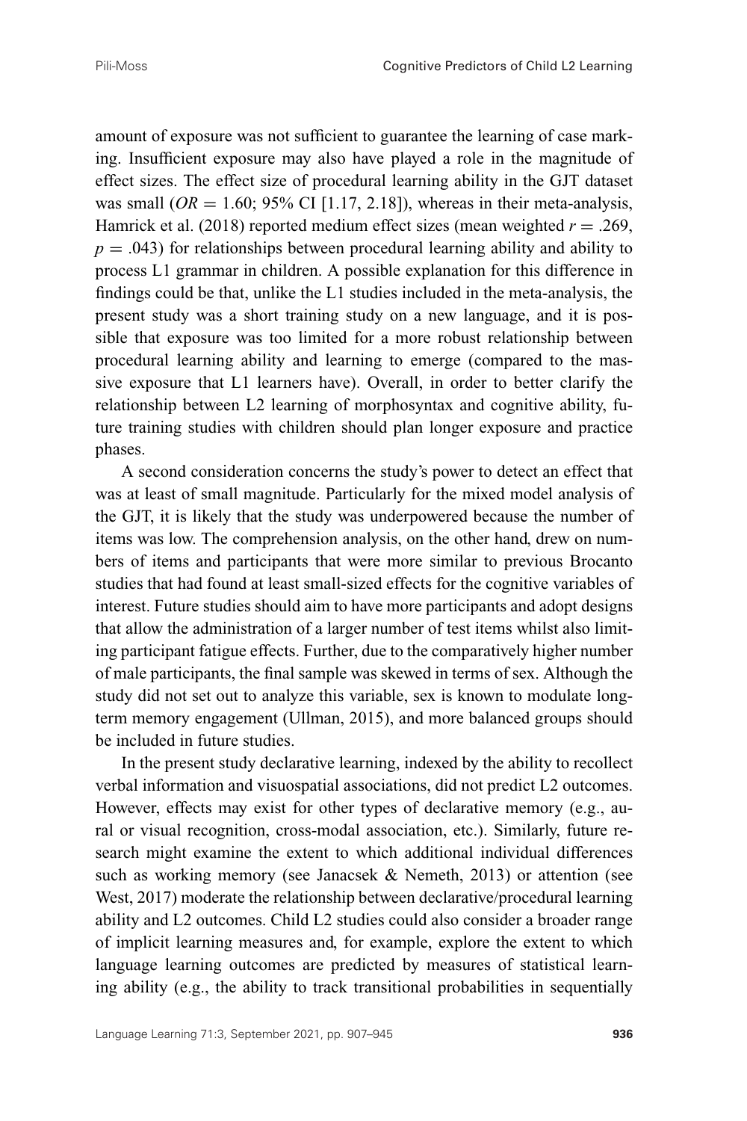amount of exposure was not sufficient to guarantee the learning of case marking. Insufficient exposure may also have played a role in the magnitude of effect sizes. The effect size of procedural learning ability in the GJT dataset was small  $(OR = 1.60; 95\% \text{ CI} [1.17, 2.18])$ , whereas in their meta-analysis, Hamrick et al. (2018) reported medium effect sizes (mean weighted  $r = .269$ ,  $p = .043$ ) for relationships between procedural learning ability and ability to process L1 grammar in children. A possible explanation for this difference in findings could be that, unlike the L1 studies included in the meta-analysis, the present study was a short training study on a new language, and it is possible that exposure was too limited for a more robust relationship between procedural learning ability and learning to emerge (compared to the massive exposure that L1 learners have). Overall, in order to better clarify the relationship between L2 learning of morphosyntax and cognitive ability, future training studies with children should plan longer exposure and practice phases.

A second consideration concerns the study's power to detect an effect that was at least of small magnitude. Particularly for the mixed model analysis of the GJT, it is likely that the study was underpowered because the number of items was low. The comprehension analysis, on the other hand, drew on numbers of items and participants that were more similar to previous Brocanto studies that had found at least small-sized effects for the cognitive variables of interest. Future studies should aim to have more participants and adopt designs that allow the administration of a larger number of test items whilst also limiting participant fatigue effects. Further, due to the comparatively higher number of male participants, the final sample was skewed in terms of sex. Although the study did not set out to analyze this variable, sex is known to modulate longterm memory engagement (Ullman, 2015), and more balanced groups should be included in future studies.

In the present study declarative learning, indexed by the ability to recollect verbal information and visuospatial associations, did not predict L2 outcomes. However, effects may exist for other types of declarative memory (e.g., aural or visual recognition, cross-modal association, etc.). Similarly, future research might examine the extent to which additional individual differences such as working memory (see Janacsek & Nemeth, 2013) or attention (see West, 2017) moderate the relationship between declarative/procedural learning ability and L2 outcomes. Child L2 studies could also consider a broader range of implicit learning measures and, for example, explore the extent to which language learning outcomes are predicted by measures of statistical learning ability (e.g., the ability to track transitional probabilities in sequentially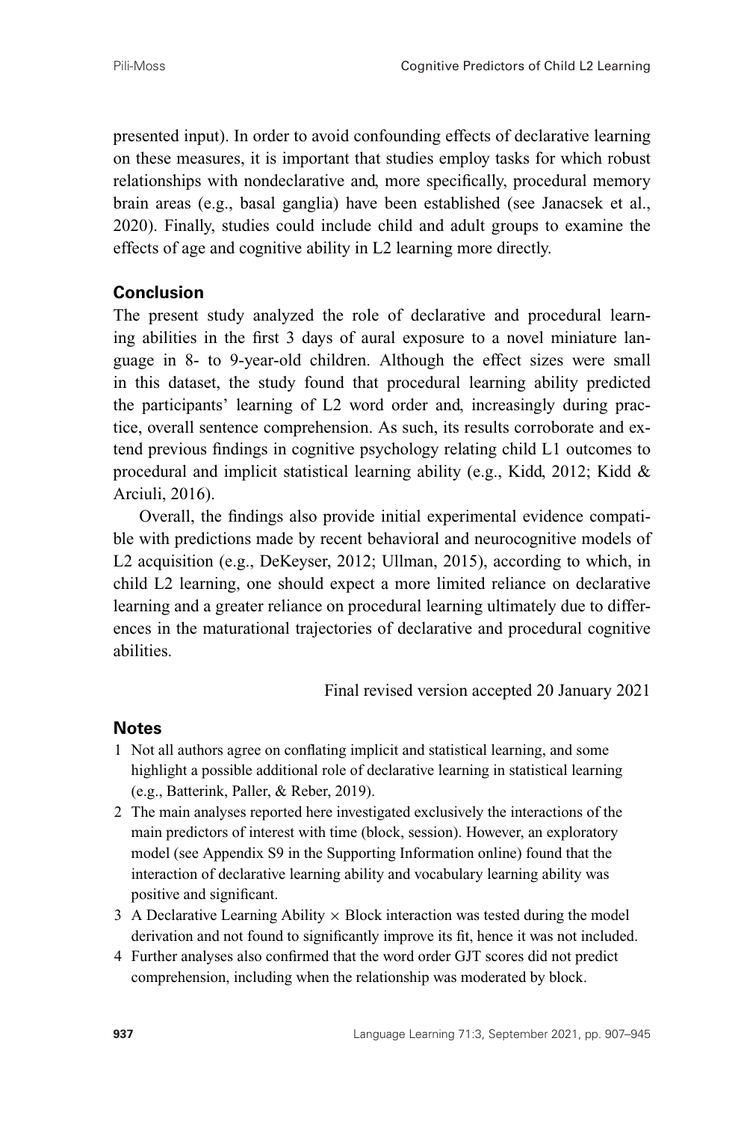presented input). In order to avoid confounding effects of declarative learning on these measures, it is important that studies employ tasks for which robust relationships with nondeclarative and, more specifically, procedural memory brain areas (e.g., basal ganglia) have been established (see Janacsek et al., 2020). Finally, studies could include child and adult groups to examine the effects of age and cognitive ability in L2 learning more directly.

## **Conclusion**

The present study analyzed the role of declarative and procedural learning abilities in the first 3 days of aural exposure to a novel miniature language in 8- to 9-year-old children. Although the effect sizes were small in this dataset, the study found that procedural learning ability predicted the participants' learning of L2 word order and, increasingly during practice, overall sentence comprehension. As such, its results corroborate and extend previous findings in cognitive psychology relating child L1 outcomes to procedural and implicit statistical learning ability (e.g., Kidd, 2012; Kidd & Arciuli, 2016).

Overall, the findings also provide initial experimental evidence compatible with predictions made by recent behavioral and neurocognitive models of L2 acquisition (e.g., DeKeyser, 2012; Ullman, 2015), according to which, in child L2 learning, one should expect a more limited reliance on declarative learning and a greater reliance on procedural learning ultimately due to differences in the maturational trajectories of declarative and procedural cognitive abilities.

Final revised version accepted 20 January 2021

## **Notes**

- 1 Not all authors agree on conflating implicit and statistical learning, and some highlight a possible additional role of declarative learning in statistical learning (e.g., Batterink, Paller, & Reber, 2019).
- 2 The main analyses reported here investigated exclusively the interactions of the main predictors of interest with time (block, session). However, an exploratory model (see Appendix S9 in the Supporting Information online) found that the interaction of declarative learning ability and vocabulary learning ability was positive and significant.
- 3 A Declarative Learning Ability  $\times$  Block interaction was tested during the model derivation and not found to significantly improve its fit, hence it was not included.
- 4 Further analyses also confirmed that the word order GJT scores did not predict comprehension, including when the relationship was moderated by block.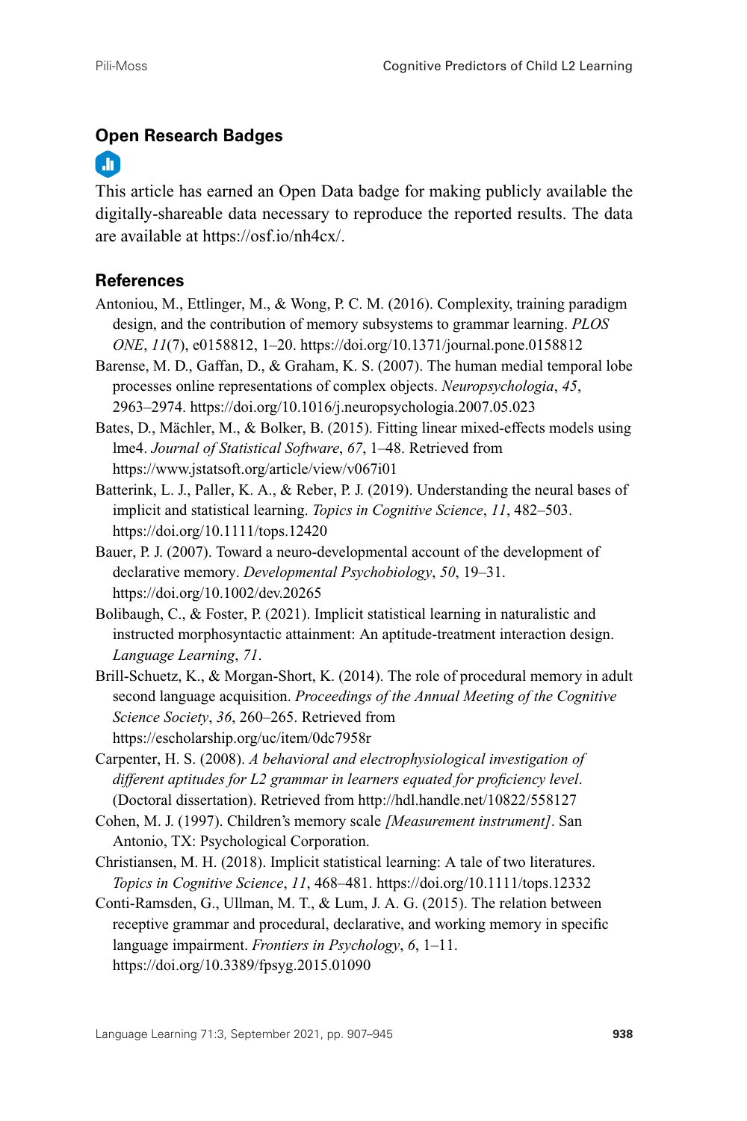## **Open Research Badges**

# m

This article has earned an Open Data badge for making publicly available the digitally-shareable data necessary to reproduce the reported results. The data are available at [https://osf.io/nh4cx/.](https://osf.io/nh4cx/)

## **References**

- Antoniou, M., Ettlinger, M., & Wong, P. C. M. (2016). Complexity, training paradigm design, and the contribution of memory subsystems to grammar learning. *PLOS ONE*, *11*(7), e0158812, 1–20.<https://doi.org/10.1371/journal.pone.0158812>
- Barense, M. D., Gaffan, D., & Graham, K. S. (2007). The human medial temporal lobe processes online representations of complex objects. *Neuropsychologia*, *45*, 2963–2974.<https://doi.org/10.1016/j.neuropsychologia.2007.05.023>
- Bates, D., Mächler, M., & Bolker, B. (2015). Fitting linear mixed-effects models using lme4. *Journal of Statistical Software*, *67*, 1–48. Retrieved from <https://www.jstatsoft.org/article/view/v067i01>
- Batterink, L. J., Paller, K. A., & Reber, P. J. (2019). Understanding the neural bases of implicit and statistical learning. *Topics in Cognitive Science*, *11*, 482–503. <https://doi.org/10.1111/tops.12420>
- Bauer, P. J. (2007). Toward a neuro-developmental account of the development of declarative memory. *Developmental Psychobiology*, *50*, 19–31. <https://doi.org/10.1002/dev.20265>
- Bolibaugh, C., & Foster, P. (2021). Implicit statistical learning in naturalistic and instructed morphosyntactic attainment: An aptitude-treatment interaction design. *Language Learning*, *71*.
- Brill-Schuetz, K., & Morgan-Short, K. (2014). The role of procedural memory in adult second language acquisition. *Proceedings of the Annual Meeting of the Cognitive Science Society*, *36*, 260–265. Retrieved from <https://escholarship.org/uc/item/0dc7958r>
- Carpenter, H. S. (2008). *A behavioral and electrophysiological investigation of different aptitudes for L2 grammar in learners equated for proficiency level*. (Doctoral dissertation). Retrieved from<http://hdl.handle.net/10822/558127>
- Cohen, M. J. (1997). Children's memory scale *[Measurement instrument]*. San Antonio, TX: Psychological Corporation.
- Christiansen, M. H. (2018). Implicit statistical learning: A tale of two literatures. *Topics in Cognitive Science*, *11*, 468–481.<https://doi.org/10.1111/tops.12332>
- Conti-Ramsden, G., Ullman, M. T., & Lum, J. A. G. (2015). The relation between receptive grammar and procedural, declarative, and working memory in specific language impairment. *Frontiers in Psychology*, *6*, 1–11. <https://doi.org/10.3389/fpsyg.2015.01090>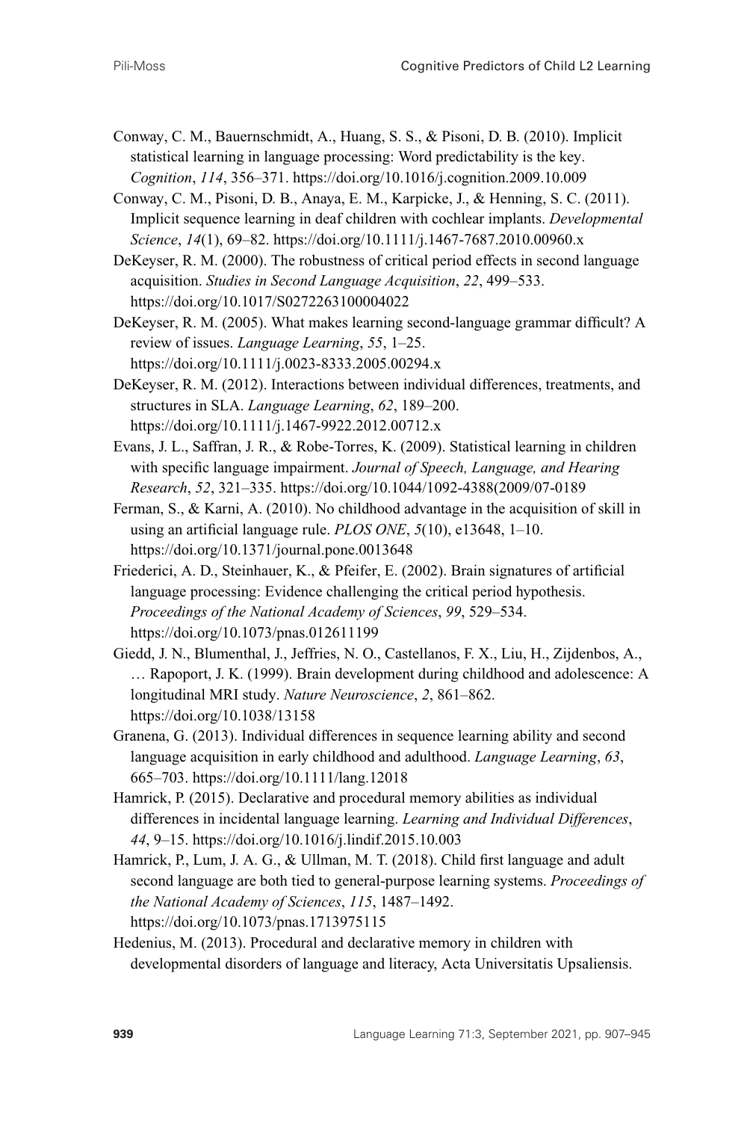- Conway, C. M., Bauernschmidt, A., Huang, S. S., & Pisoni, D. B. (2010). Implicit statistical learning in language processing: Word predictability is the key. *Cognition*, *114*, 356–371.<https://doi.org/10.1016/j.cognition.2009.10.009>
- Conway, C. M., Pisoni, D. B., Anaya, E. M., Karpicke, J., & Henning, S. C. (2011). Implicit sequence learning in deaf children with cochlear implants. *Developmental Science*, *14*(1), 69–82.<https://doi.org/10.1111/j.1467-7687.2010.00960.x>
- DeKeyser, R. M. (2000). The robustness of critical period effects in second language acquisition. *Studies in Second Language Acquisition*, *22*, 499–533. <https://doi.org/10.1017/S0272263100004022>
- DeKeyser, R. M. (2005). What makes learning second-language grammar difficult? A review of issues. *Language Learning*, *55*, 1–25. <https://doi.org/10.1111/j.0023-8333.2005.00294.x>
- DeKeyser, R. M. (2012). Interactions between individual differences, treatments, and structures in SLA. *Language Learning*, *62*, 189–200. <https://doi.org/10.1111/j.1467-9922.2012.00712.x>
- Evans, J. L., Saffran, J. R., & Robe-Torres, K. (2009). Statistical learning in children with specific language impairment. *Journal of Speech, Language, and Hearing Research*, *52*, 321–335. [https://doi.org/10.1044/1092-4388\(2009/07-0189](https://doi.org/10.1044/1092-4388(2009/07-0189)
- Ferman, S., & Karni, A. (2010). No childhood advantage in the acquisition of skill in using an artificial language rule. *PLOS ONE*, *5*(10), e13648, 1–10. <https://doi.org/10.1371/journal.pone.0013648>
- Friederici, A. D., Steinhauer, K., & Pfeifer, E. (2002). Brain signatures of artificial language processing: Evidence challenging the critical period hypothesis. *Proceedings of the National Academy of Sciences*, *99*, 529–534. <https://doi.org/10.1073/pnas.012611199>
- Giedd, J. N., Blumenthal, J., Jeffries, N. O., Castellanos, F. X., Liu, H., Zijdenbos, A., … Rapoport, J. K. (1999). Brain development during childhood and adolescence: A longitudinal MRI study. *Nature Neuroscience*, *2*, 861–862. <https://doi.org/10.1038/13158>
- Granena, G. (2013). Individual differences in sequence learning ability and second language acquisition in early childhood and adulthood. *Language Learning*, *63*, 665–703.<https://doi.org/10.1111/lang.12018>
- Hamrick, P. (2015). Declarative and procedural memory abilities as individual differences in incidental language learning. *Learning and Individual Differences*, *44*, 9–15.<https://doi.org/10.1016/j.lindif.2015.10.003>
- Hamrick, P., Lum, J. A. G., & Ullman, M. T. (2018). Child first language and adult second language are both tied to general-purpose learning systems. *Proceedings of the National Academy of Sciences*, *115*, 1487–1492. <https://doi.org/10.1073/pnas.1713975115>
- Hedenius, M. (2013). Procedural and declarative memory in children with developmental disorders of language and literacy, Acta Universitatis Upsaliensis.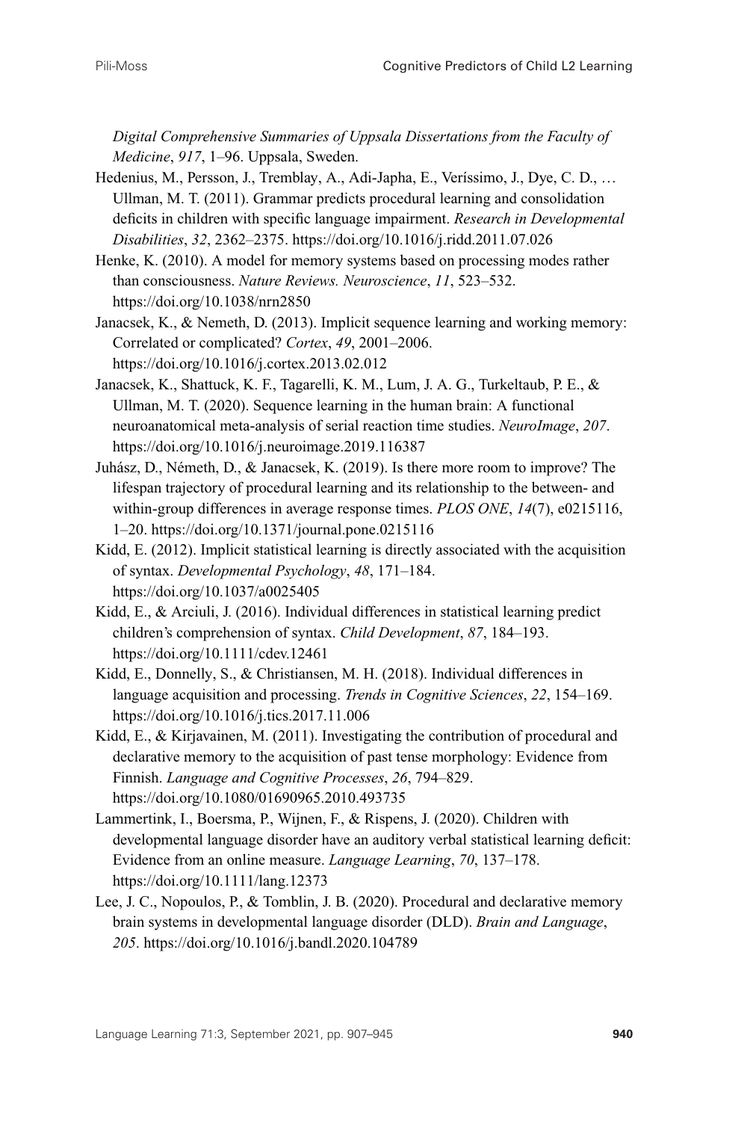*Digital Comprehensive Summaries of Uppsala Dissertations from the Faculty of Medicine*, *917*, 1–96. Uppsala, Sweden.

- Hedenius, M., Persson, J., Tremblay, A., Adi-Japha, E., Veríssimo, J., Dye, C. D., … Ullman, M. T. (2011). Grammar predicts procedural learning and consolidation deficits in children with specific language impairment. *Research in Developmental Disabilities*, *32*, 2362–2375.<https://doi.org/10.1016/j.ridd.2011.07.026>
- Henke, K. (2010). A model for memory systems based on processing modes rather than consciousness. *Nature Reviews. Neuroscience*, *11*, 523–532. <https://doi.org/10.1038/nrn2850>
- Janacsek, K., & Nemeth, D. (2013). Implicit sequence learning and working memory: Correlated or complicated? *Cortex*, *49*, 2001–2006. <https://doi.org/10.1016/j.cortex.2013.02.012>
- Janacsek, K., Shattuck, K. F., Tagarelli, K. M., Lum, J. A. G., Turkeltaub, P. E., & Ullman, M. T. (2020). Sequence learning in the human brain: A functional neuroanatomical meta-analysis of serial reaction time studies. *NeuroImage*, *207*. <https://doi.org/10.1016/j.neuroimage.2019.116387>
- Juhász, D., Németh, D., & Janacsek, K. (2019). Is there more room to improve? The lifespan trajectory of procedural learning and its relationship to the between- and within-group differences in average response times. *PLOS ONE*, *14*(7), e0215116, 1–20.<https://doi.org/10.1371/journal.pone.0215116>
- Kidd, E. (2012). Implicit statistical learning is directly associated with the acquisition of syntax. *Developmental Psychology*, *48*, 171–184. <https://doi.org/10.1037/a0025405>
- Kidd, E., & Arciuli, J. (2016). Individual differences in statistical learning predict children's comprehension of syntax. *Child Development*, *87*, 184–193. <https://doi.org/10.1111/cdev.12461>
- Kidd, E., Donnelly, S., & Christiansen, M. H. (2018). Individual differences in language acquisition and processing. *Trends in Cognitive Sciences*, *22*, 154–169. <https://doi.org/10.1016/j.tics.2017.11.006>
- Kidd, E., & Kirjavainen, M. (2011). Investigating the contribution of procedural and declarative memory to the acquisition of past tense morphology: Evidence from Finnish. *Language and Cognitive Processes*, *26*, 794–829. <https://doi.org/10.1080/01690965.2010.493735>
- Lammertink, I., Boersma, P., Wijnen, F., & Rispens, J. (2020). Children with developmental language disorder have an auditory verbal statistical learning deficit: Evidence from an online measure. *Language Learning*, *70*, 137–178. <https://doi.org/10.1111/lang.12373>
- Lee, J. C., Nopoulos, P., & Tomblin, J. B. (2020). Procedural and declarative memory brain systems in developmental language disorder (DLD). *Brain and Language*, *205*.<https://doi.org/10.1016/j.bandl.2020.104789>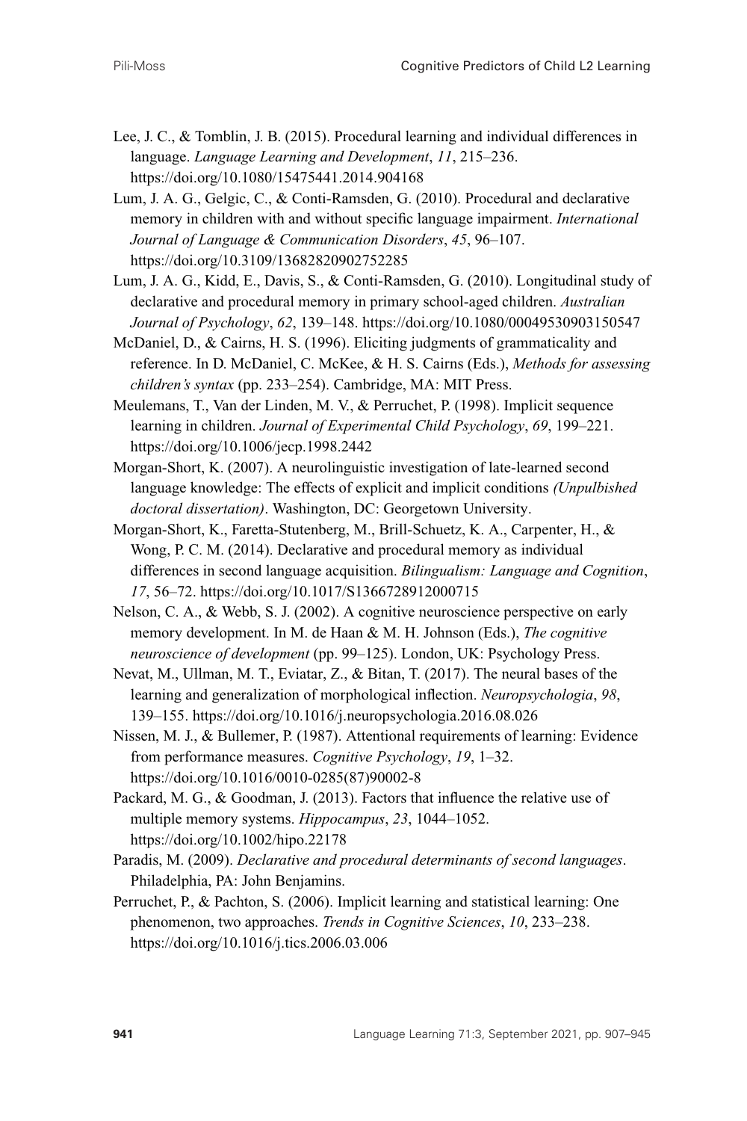- Lee, J. C., & Tomblin, J. B. (2015). Procedural learning and individual differences in language. *Language Learning and Development*, *11*, 215–236. <https://doi.org/10.1080/15475441.2014.904168>
- Lum, J. A. G., Gelgic, C., & Conti-Ramsden, G. (2010). Procedural and declarative memory in children with and without specific language impairment. *International Journal of Language & Communication Disorders*, *45*, 96–107. <https://doi.org/10.3109/13682820902752285>
- Lum, J. A. G., Kidd, E., Davis, S., & Conti-Ramsden, G. (2010). Longitudinal study of declarative and procedural memory in primary school-aged children. *Australian Journal of Psychology*, *62*, 139–148.<https://doi.org/10.1080/00049530903150547>
- McDaniel, D., & Cairns, H. S. (1996). Eliciting judgments of grammaticality and reference. In D. McDaniel, C. McKee, & H. S. Cairns (Eds.), *Methods for assessing children's syntax* (pp. 233–254). Cambridge, MA: MIT Press.
- Meulemans, T., Van der Linden, M. V., & Perruchet, P. (1998). Implicit sequence learning in children. *Journal of Experimental Child Psychology*, *69*, 199–221. <https://doi.org/10.1006/jecp.1998.2442>
- Morgan-Short, K. (2007). A neurolinguistic investigation of late-learned second language knowledge: The effects of explicit and implicit conditions *(Unpulbished doctoral dissertation)*. Washington, DC: Georgetown University.
- Morgan-Short, K., Faretta-Stutenberg, M., Brill-Schuetz, K. A., Carpenter, H., & Wong, P. C. M. (2014). Declarative and procedural memory as individual differences in second language acquisition. *Bilingualism: Language and Cognition*, *17*, 56–72.<https://doi.org/10.1017/S1366728912000715>
- Nelson, C. A., & Webb, S. J. (2002). A cognitive neuroscience perspective on early memory development. In M. de Haan & M. H. Johnson (Eds.), *The cognitive neuroscience of development* (pp. 99–125). London, UK: Psychology Press.
- Nevat, M., Ullman, M. T., Eviatar, Z., & Bitan, T. (2017). The neural bases of the learning and generalization of morphological inflection. *Neuropsychologia*, *98*, 139–155.<https://doi.org/10.1016/j.neuropsychologia.2016.08.026>
- Nissen, M. J., & Bullemer, P. (1987). Attentional requirements of learning: Evidence from performance measures. *Cognitive Psychology*, *19*, 1–32. [https://doi.org/10.1016/0010-0285\(87\)90002-8](https://doi.org/10.1016/0010-0285(87)90002-8)
- Packard, M. G., & Goodman, J. (2013). Factors that influence the relative use of multiple memory systems. *Hippocampus*, *23*, 1044–1052. <https://doi.org/10.1002/hipo.22178>
- Paradis, M. (2009). *Declarative and procedural determinants of second languages*. Philadelphia, PA: John Benjamins.
- Perruchet, P., & Pachton, S. (2006). Implicit learning and statistical learning: One phenomenon, two approaches. *Trends in Cognitive Sciences*, *10*, 233–238. <https://doi.org/10.1016/j.tics.2006.03.006>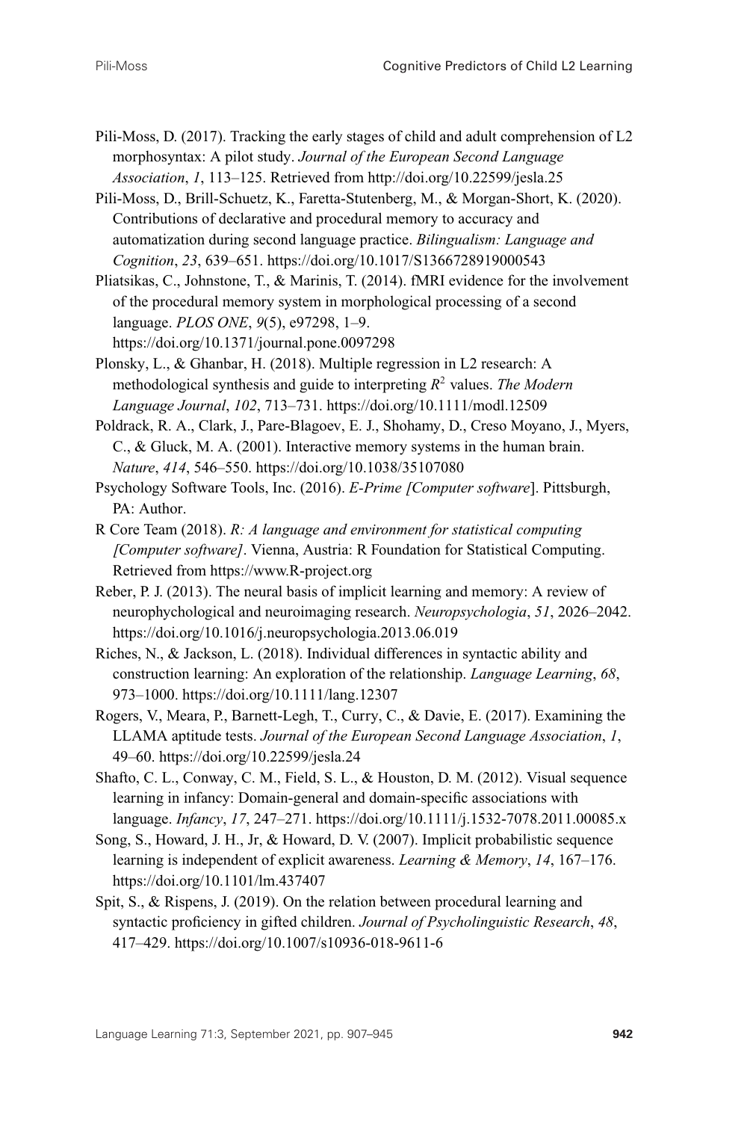- Pili-Moss, D. (2017). Tracking the early stages of child and adult comprehension of L2 morphosyntax: A pilot study. *Journal of the European Second Language Association*, *1*, 113–125. Retrieved from<http://doi.org/10.22599/jesla.25>
- Pili-Moss, D., Brill-Schuetz, K., Faretta-Stutenberg, M., & Morgan-Short, K. (2020). Contributions of declarative and procedural memory to accuracy and automatization during second language practice. *Bilingualism: Language and Cognition*, *23*, 639–651.<https://doi.org/10.1017/S1366728919000543>
- Pliatsikas, C., Johnstone, T., & Marinis, T. (2014). fMRI evidence for the involvement of the procedural memory system in morphological processing of a second language. *PLOS ONE*, *9*(5), e97298, 1–9. <https://doi.org/10.1371/journal.pone.0097298>
- Plonsky, L., & Ghanbar, H. (2018). Multiple regression in L2 research: A methodological synthesis and guide to interpreting *R*<sup>2</sup> values. *The Modern Language Journal*, *102*, 713–731.<https://doi.org/10.1111/modl.12509>
- Poldrack, R. A., Clark, J., Pare-Blagoev, E. J., Shohamy, D., Creso Moyano, J., Myers, C., & Gluck, M. A. (2001). Interactive memory systems in the human brain. *Nature*, *414*, 546–550.<https://doi.org/10.1038/35107080>
- Psychology Software Tools, Inc. (2016). *E-Prime [Computer software*]. Pittsburgh, PA: Author.
- R Core Team (2018). *R: A language and environment for statistical computing [Computer software]*. Vienna, Austria: R Foundation for Statistical Computing. Retrieved from<https://www.R-project.org>
- Reber, P. J. (2013). The neural basis of implicit learning and memory: A review of neurophychological and neuroimaging research. *Neuropsychologia*, *51*, 2026–2042. <https://doi.org/10.1016/j.neuropsychologia.2013.06.019>
- Riches, N., & Jackson, L. (2018). Individual differences in syntactic ability and construction learning: An exploration of the relationship. *Language Learning*, *68*, 973–1000.<https://doi.org/10.1111/lang.12307>
- Rogers, V., Meara, P., Barnett-Legh, T., Curry, C., & Davie, E. (2017). Examining the LLAMA aptitude tests. *Journal of the European Second Language Association*, *1*, 49–60.<https://doi.org/10.22599/jesla.24>
- Shafto, C. L., Conway, C. M., Field, S. L., & Houston, D. M. (2012). Visual sequence learning in infancy: Domain-general and domain-specific associations with language. *Infancy*, *17*, 247–271.<https://doi.org/10.1111/j.1532-7078.2011.00085.x>
- Song, S., Howard, J. H., Jr, & Howard, D. V. (2007). Implicit probabilistic sequence learning is independent of explicit awareness. *Learning & Memory*, *14*, 167–176. <https://doi.org/10.1101/lm.437407>
- Spit, S., & Rispens, J. (2019). On the relation between procedural learning and syntactic proficiency in gifted children. *Journal of Psycholinguistic Research*, *48*, 417–429.<https://doi.org/10.1007/s10936-018-9611-6>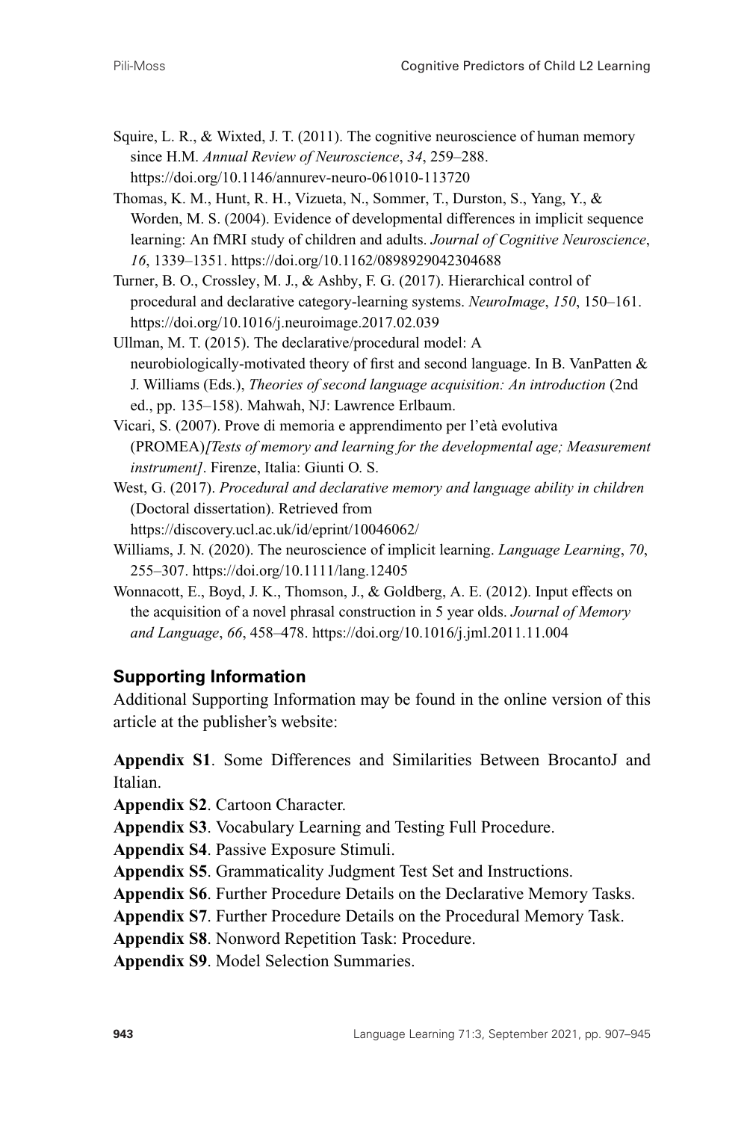- Squire, L. R., & Wixted, J. T. (2011). The cognitive neuroscience of human memory since H.M. *Annual Review of Neuroscience*, *34*, 259–288. <https://doi.org/10.1146/annurev-neuro-061010-113720>
- Thomas, K. M., Hunt, R. H., Vizueta, N., Sommer, T., Durston, S., Yang, Y., & Worden, M. S. (2004). Evidence of developmental differences in implicit sequence learning: An fMRI study of children and adults. *Journal of Cognitive Neuroscience*, *16*, 1339–1351.<https://doi.org/10.1162/0898929042304688>
- Turner, B. O., Crossley, M. J., & Ashby, F. G. (2017). Hierarchical control of procedural and declarative category-learning systems. *NeuroImage*, *150*, 150–161. <https://doi.org/10.1016/j.neuroimage.2017.02.039>
- Ullman, M. T. (2015). The declarative/procedural model: A neurobiologically-motivated theory of first and second language. In B. VanPatten & J. Williams (Eds.), *Theories of second language acquisition: An introduction* (2nd ed., pp. 135–158). Mahwah, NJ: Lawrence Erlbaum.
- Vicari, S. (2007). Prove di memoria e apprendimento per l'età evolutiva (PROMEA)*[Tests of memory and learning for the developmental age; Measurement instrument]*. Firenze, Italia: Giunti O. S.
- West, G. (2017). *Procedural and declarative memory and language ability in children* (Doctoral dissertation). Retrieved from <https://discovery.ucl.ac.uk/id/eprint/10046062/>
- Williams, J. N. (2020). The neuroscience of implicit learning. *Language Learning*, *70*, 255–307.<https://doi.org/10.1111/lang.12405>
- Wonnacott, E., Boyd, J. K., Thomson, J., & Goldberg, A. E. (2012). Input effects on the acquisition of a novel phrasal construction in 5 year olds. *Journal of Memory and Language*, *66*, 458–478.<https://doi.org/10.1016/j.jml.2011.11.004>

## **Supporting Information**

Additional Supporting Information may be found in the online version of this article at the publisher's website:

**Appendix S1**. Some Differences and Similarities Between BrocantoJ and Italian.

**Appendix S2**. Cartoon Character.

**Appendix S3**. Vocabulary Learning and Testing Full Procedure.

**Appendix S4**. Passive Exposure Stimuli.

**Appendix S5**. Grammaticality Judgment Test Set and Instructions.

**Appendix S6**. Further Procedure Details on the Declarative Memory Tasks.

**Appendix S7**. Further Procedure Details on the Procedural Memory Task.

**Appendix S8**. Nonword Repetition Task: Procedure.

**Appendix S9**. Model Selection Summaries.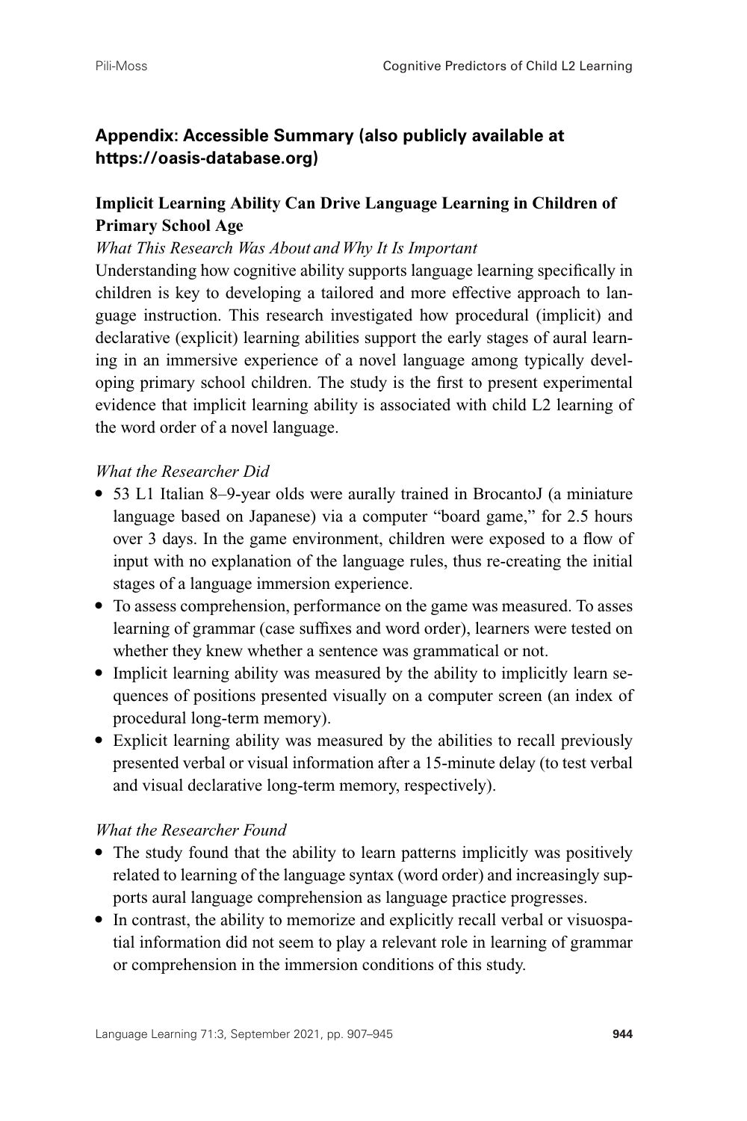## **Appendix: Accessible Summary (also publicly available at [https://oasis-database.org\)](https://oasis-database.org)**

## **Implicit Learning Ability Can Drive Language Learning in Children of Primary School Age**

### *What This Research Was About and Why It Is Important*

Understanding how cognitive ability supports language learning specifically in children is key to developing a tailored and more effective approach to language instruction. This research investigated how procedural (implicit) and declarative (explicit) learning abilities support the early stages of aural learning in an immersive experience of a novel language among typically developing primary school children. The study is the first to present experimental evidence that implicit learning ability is associated with child L2 learning of the word order of a novel language.

### *What the Researcher Did*

- 53 L1 Italian 8–9-year olds were aurally trained in BrocantoJ (a miniature language based on Japanese) via a computer "board game," for 2.5 hours over 3 days. In the game environment, children were exposed to a flow of input with no explanation of the language rules, thus re-creating the initial stages of a language immersion experience.
- To assess comprehension, performance on the game was measured. To asses learning of grammar (case suffixes and word order), learners were tested on whether they knew whether a sentence was grammatical or not.
- Implicit learning ability was measured by the ability to implicitly learn sequences of positions presented visually on a computer screen (an index of procedural long-term memory).
- Explicit learning ability was measured by the abilities to recall previously presented verbal or visual information after a 15-minute delay (to test verbal and visual declarative long-term memory, respectively).

## *What the Researcher Found*

- The study found that the ability to learn patterns implicitly was positively related to learning of the language syntax (word order) and increasingly supports aural language comprehension as language practice progresses.
- In contrast, the ability to memorize and explicitly recall verbal or visuospatial information did not seem to play a relevant role in learning of grammar or comprehension in the immersion conditions of this study.